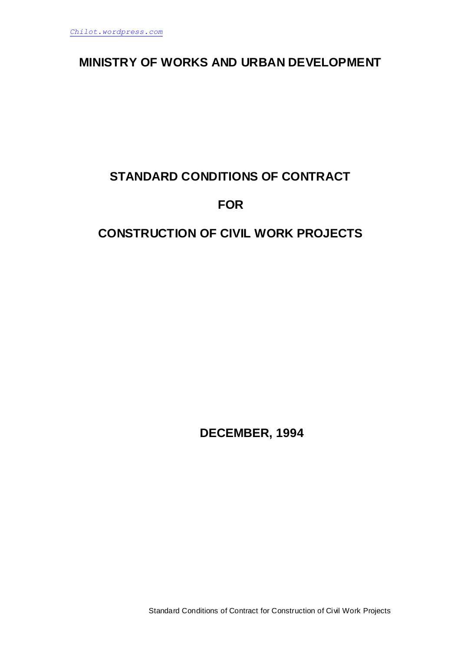# **MINISTRY OF WORKS AND URBAN DEVELOPMENT**

# **STANDARD CONDITIONS OF CONTRACT**

# **FOR**

# **CONSTRUCTION OF CIVIL WORK PROJECTS**

**DECEMBER, 1994**

Standard Conditions of Contract for Construction of Civil Work Projects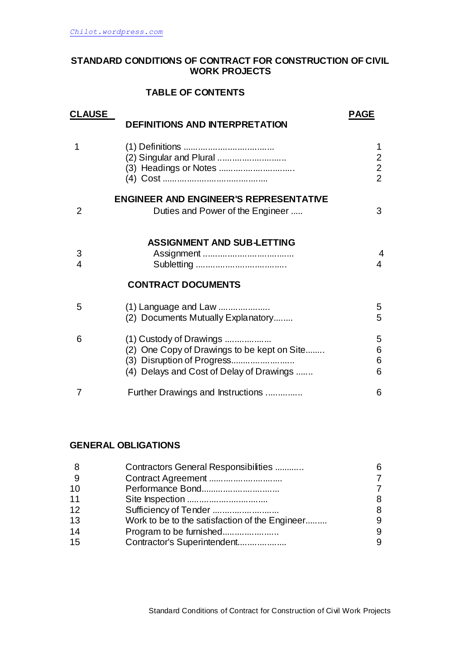## **STANDARD CONDITIONS OF CONTRACT FOR CONSTRUCTION OF CIVIL WORK PROJECTS**

# **TABLE OF CONTENTS**

| <b>CLAUSE</b>  | <b>DEFINITIONS AND INTERPRETATION</b>            | <b>PAGE</b>                                             |
|----------------|--------------------------------------------------|---------------------------------------------------------|
| 1              | (2) Singular and Plural<br>(3) Headings or Notes | 1<br>$\overline{2}$<br>$\overline{2}$<br>$\overline{2}$ |
|                | <b>ENGINEER AND ENGINEER'S REPRESENTATIVE</b>    |                                                         |
| $\overline{2}$ | Duties and Power of the Engineer                 | 3                                                       |
|                | <b>ASSIGNMENT AND SUB-LETTING</b>                |                                                         |
| 3              |                                                  | 4                                                       |
| 4              |                                                  | 4                                                       |
|                | <b>CONTRACT DOCUMENTS</b>                        |                                                         |
| 5              | (1) Language and Law                             | 5                                                       |
|                | (2) Documents Mutually Explanatory               | 5                                                       |
| 6              | $(1)$ Custody of Drawings                        | 5                                                       |
|                | (2) One Copy of Drawings to be kept on Site      | 6                                                       |
|                |                                                  | 6                                                       |
|                | (4) Delays and Cost of Delay of Drawings         | 6                                                       |
| 7              | Further Drawings and Instructions                | 6                                                       |

# **GENERAL OBLIGATIONS**

| - 8 | Contractors General Responsibilities           |   |
|-----|------------------------------------------------|---|
|     |                                                |   |
| 10  |                                                |   |
| 11  |                                                | 8 |
| 12  | Sufficiency of Tender                          | 8 |
| 13  | Work to be to the satisfaction of the Engineer | 9 |
| 14  |                                                | 9 |
| 15  | Contractor's Superintendent                    | 9 |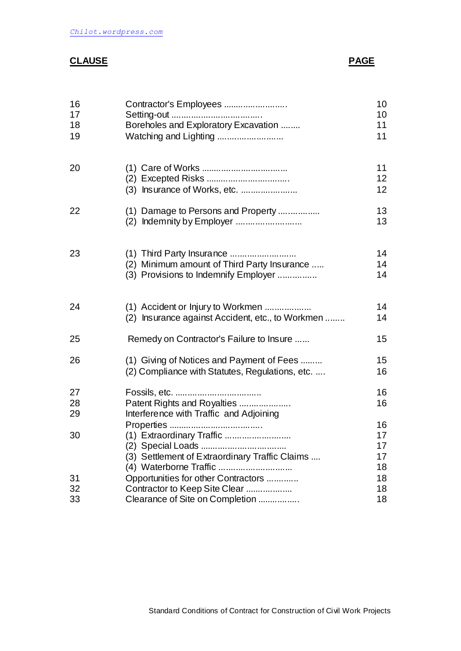# **CLAUSE PAGE**

| 16<br>17 | Contractor's Employees                           | 10<br>10              |
|----------|--------------------------------------------------|-----------------------|
| 18       | Boreholes and Exploratory Excavation             | 11                    |
| 19       | Watching and Lighting                            | 11                    |
| 20       |                                                  | 11                    |
|          | (3) Insurance of Works, etc.                     | 12<br>12 <sub>2</sub> |
| 22       | (1) Damage to Persons and Property               | 13<br>13              |
|          |                                                  |                       |
| 23       | (1) Third Party Insurance                        | 14                    |
|          | (2) Minimum amount of Third Party Insurance      | 14                    |
|          | (3) Provisions to Indemnify Employer             | 14                    |
| 24       | (1) Accident or Injury to Workmen                | 14                    |
|          | (2) Insurance against Accident, etc., to Workmen | 14                    |
| 25       | Remedy on Contractor's Failure to Insure         | 15                    |
| 26       | (1) Giving of Notices and Payment of Fees        | 15                    |
|          | (2) Compliance with Statutes, Regulations, etc.  | 16                    |
| 27       |                                                  | 16                    |
| 28       | Patent Rights and Royalties                      | 16                    |
| 29       | Interference with Traffic and Adjoining          |                       |
|          |                                                  | 16                    |
| 30       |                                                  | 17<br>17              |
|          | (3) Settlement of Extraordinary Traffic Claims   | 17                    |
|          |                                                  | 18                    |
| 31       | Opportunities for other Contractors              | 18                    |
| 32       | Contractor to Keep Site Clear                    | 18                    |
| 33       | Clearance of Site on Completion                  | 18                    |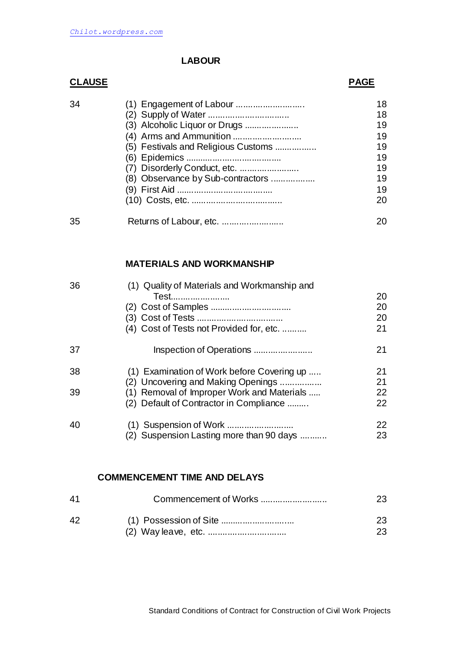# **LABOUR**

# **CLAUSE PAGE**

| 34 |                                     | 18 |
|----|-------------------------------------|----|
|    |                                     | 18 |
|    | (3) Alcoholic Liquor or Drugs       | 19 |
|    | (4) Arms and Ammunition             | 19 |
|    | (5) Festivals and Religious Customs | 19 |
|    |                                     | 19 |
|    | (7) Disorderly Conduct, etc.        | 19 |
|    | (8) Observance by Sub-contractors   | 19 |
|    |                                     | 19 |
|    |                                     | 20 |
| 35 |                                     | 20 |
|    |                                     |    |

# **MATERIALS AND WORKMANSHIP**

| 36 | (1) Quality of Materials and Workmanship and |    |
|----|----------------------------------------------|----|
|    | Test                                         | 20 |
|    |                                              | 20 |
|    |                                              | 20 |
|    | (4) Cost of Tests not Provided for, etc.     | 21 |
| 37 |                                              | 21 |
| 38 | (1) Examination of Work before Covering up   | 21 |
|    | (2) Uncovering and Making Openings           | 21 |
| 39 | (1) Removal of Improper Work and Materials   | 22 |
|    | (2) Default of Contractor in Compliance      | 22 |
| 40 |                                              | 22 |
|    | (2) Suspension Lasting more than 90 days     | 23 |
|    |                                              |    |

# **COMMENCEMENT TIME AND DELAYS**

| Commencement of Works | 23.        |
|-----------------------|------------|
|                       | 23.<br>23. |
|                       |            |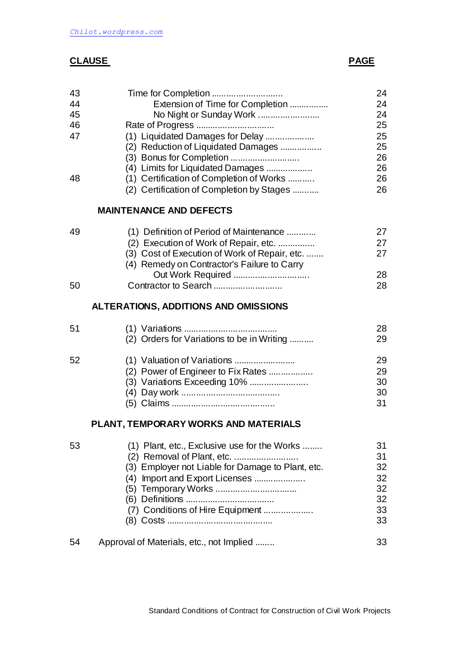# **CLAUSE PAGE**

| 43 |                                                   | 24 |
|----|---------------------------------------------------|----|
| 44 | Extension of Time for Completion                  | 24 |
| 45 | No Night or Sunday Work                           | 24 |
| 46 |                                                   | 25 |
| 47 | (1) Liquidated Damages for Delay                  | 25 |
|    | (2) Reduction of Liquidated Damages               | 25 |
|    | (3) Bonus for Completion                          | 26 |
|    | (4) Limits for Liquidated Damages                 | 26 |
| 48 | (1) Certification of Completion of Works          | 26 |
|    | (2) Certification of Completion by Stages         | 26 |
|    | <b>MAINTENANCE AND DEFECTS</b>                    |    |
| 49 | (1) Definition of Period of Maintenance           | 27 |
|    | (2) Execution of Work of Repair, etc.             | 27 |
|    | (3) Cost of Execution of Work of Repair, etc.     | 27 |
|    | (4) Remedy on Contractor's Failure to Carry       |    |
|    | Out Work Required                                 | 28 |
| 50 |                                                   | 28 |
|    | <b>ALTERATIONS, ADDITIONS AND OMISSIONS</b>       |    |
| 51 |                                                   | 28 |
|    | (2) Orders for Variations to be in Writing        | 29 |
| 52 |                                                   | 29 |
|    | (2) Power of Engineer to Fix Rates                | 29 |
|    | (3) Variations Exceeding 10%                      | 30 |
|    |                                                   | 30 |
|    |                                                   | 31 |
|    | PLANT, TEMPORARY WORKS AND MATERIALS              |    |
| 53 | (1) Plant, etc., Exclusive use for the Works      | 31 |
|    | Removal of Plant, etc.<br>(2)                     | 31 |
|    | (3) Employer not Liable for Damage to Plant, etc. | 32 |
|    | Import and Export Licenses<br>(4)                 | 32 |
|    | Temporary Works<br>(5)                            | 32 |
|    |                                                   | 32 |
|    | (7) Conditions of Hire Equipment                  | 33 |
|    |                                                   | 33 |
| 54 | Approval of Materials, etc., not Implied          | 33 |
|    |                                                   |    |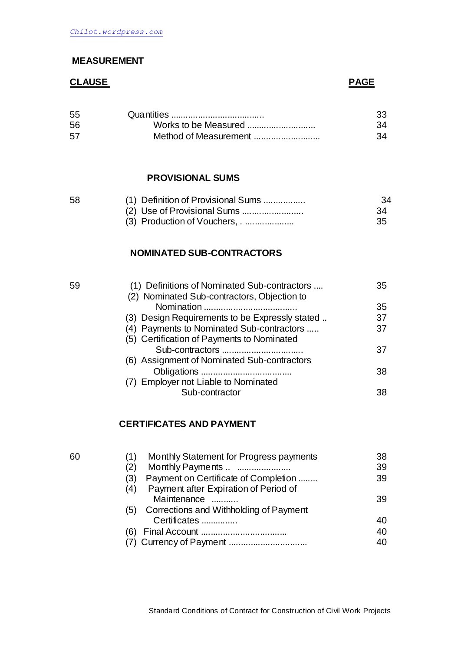#### **MEASUREMENT**

### **CLAUSE PAGE**

| 55 |     |
|----|-----|
| 56 | 34. |
| 57 | 34. |

### **PROVISIONAL SUMS**

| 58 | (1) Definition of Provisional Sums | 34 |
|----|------------------------------------|----|
|    |                                    | 34 |
|    | (3) Production of Vouchers,        | 35 |

### **NOMINATED SUB-CONTRACTORS**

59 (1) Definitions of Nominated Sub-contractors .... 35 (2) Nominated Sub-contractors, Objection to Nomination ...................................... 35 (3) Design Requirements to be Expressly stated .. 37 (4) Payments to Nominated Sub-contractors ..... 37 (5) Certification of Payments to Nominated Sub-contractors ................................. 37 (6) Assignment of Nominated Sub-contractors Obligations ..................................... 38 (7) Employer not Liable to Nominated Sub-contractor 38

### **CERTIFICATES AND PAYMENT**

| 60 | Monthly Statement for Progress payments       | 38 |
|----|-----------------------------------------------|----|
|    | Monthly Payments<br>(2)                       | 39 |
|    | Payment on Certificate of Completion<br>(3)   | 39 |
|    | Payment after Expiration of Period of<br>(4)  |    |
|    | Maintenance                                   | 39 |
|    | Corrections and Withholding of Payment<br>(5) |    |
|    | Certificates                                  | 40 |
|    |                                               | 40 |
|    |                                               | 40 |
|    |                                               |    |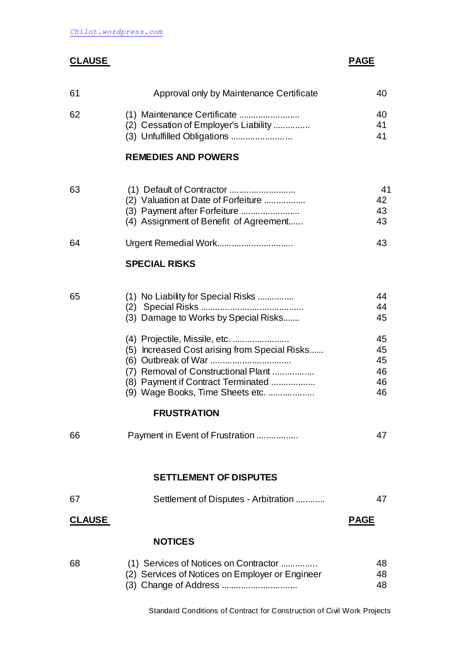# **CLAUSE PAGE**

| 61            | Approval only by Maintenance Certificate                                                                                                                                                        | 40                               |
|---------------|-------------------------------------------------------------------------------------------------------------------------------------------------------------------------------------------------|----------------------------------|
| 62            | (2) Cessation of Employer's Liability                                                                                                                                                           | 40<br>41<br>41                   |
|               | <b>REMEDIES AND POWERS</b>                                                                                                                                                                      |                                  |
| 63            | (2) Valuation at Date of Forfeiture<br>(3) Payment after Forfeiture<br>(4) Assignment of Benefit of Agreement                                                                                   | 41<br>42<br>43<br>43             |
| 64            | Urgent Remedial Work                                                                                                                                                                            | 43                               |
|               | <b>SPECIAL RISKS</b>                                                                                                                                                                            |                                  |
| 65            | (1) No Liability for Special Risks<br>(3) Damage to Works by Special Risks                                                                                                                      | 44<br>44<br>45                   |
|               | (4) Projectile, Missile, etc.<br>(5) Increased Cost arising from Special Risks<br>(7) Removal of Constructional Plant<br>(8) Payment if Contract Terminated<br>(9) Wage Books, Time Sheets etc. | 45<br>45<br>45<br>46<br>46<br>46 |
|               | <b>FRUSTRATION</b>                                                                                                                                                                              |                                  |
| 66            | Payment in Event of Frustration                                                                                                                                                                 | 47                               |
|               | <b>SETTLEMENT OF DISPUTES</b>                                                                                                                                                                   |                                  |
| 67            | Settlement of Disputes - Arbitration                                                                                                                                                            | 47                               |
| <b>CLAUSE</b> |                                                                                                                                                                                                 | <b>PAGE</b>                      |
|               | <b>NOTICES</b>                                                                                                                                                                                  |                                  |
| 68            | (1) Services of Notices on Contractor<br>(2) Services of Notices on Employer or Engineer<br>(3) Change of Address                                                                               | 48<br>48<br>48                   |

Standard Conditions of Contract for Construction of Civil Work Projects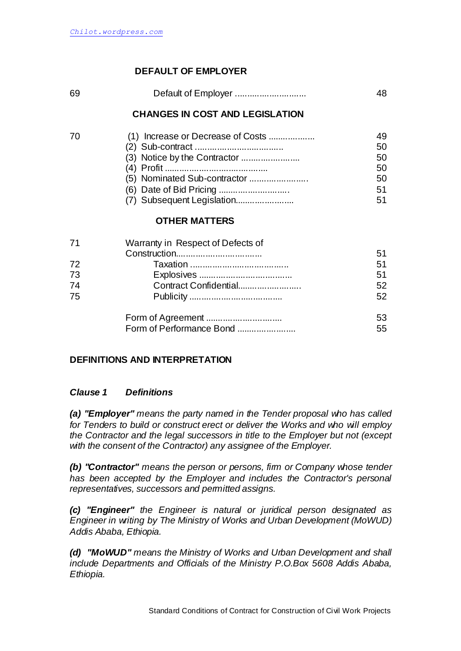# **DEFAULT OF EMPLOYER**

| 69 |                                                                                                 | 48                                     |
|----|-------------------------------------------------------------------------------------------------|----------------------------------------|
|    | <b>CHANGES IN COST AND LEGISLATION</b>                                                          |                                        |
| 70 | (1) Increase or Decrease of Costs<br>(5) Nominated Sub-contractor<br>(7) Subsequent Legislation | 49<br>50<br>50<br>50<br>50<br>51<br>51 |
|    | <b>OTHER MATTERS</b>                                                                            |                                        |
|    | Warranty in Respect of Defects of                                                               | 51                                     |

| 72 |                       | 51              |
|----|-----------------------|-----------------|
| 73 |                       | 51              |
| 74 | Contract Confidential | 52 <sub>2</sub> |
| 75 |                       | 52 <sub>2</sub> |
|    |                       | 53              |
|    |                       | 55              |

### **DEFINITIONS AND INTERPRETATION**

### *Clause 1 Definitions*

*(a) "Employer" means the party named in the Tender proposal who has called for Tenders to build or construct erect or deliver the Works and who will employ the Contractor and the legal successors in title to the Employer but not (except with the consent of the Contractor) any assignee of the Employer.*

*(b) "Contractor" means the person or persons, firm or Company whose tender has been accepted by the Employer and includes the Contractor's personal representatives, successors and permitted assigns.*

*(c) "Engineer" the Engineer is natural or juridical person designated as Engineer in writing by The Ministry of Works and Urban Development (MoWUD) Addis Ababa, Ethiopia.*

*(d) "MoWUD" means the Ministry of Works and Urban Development and shall include Departments and Officials of the Ministry P.O.Box 5608 Addis Ababa, Ethiopia.*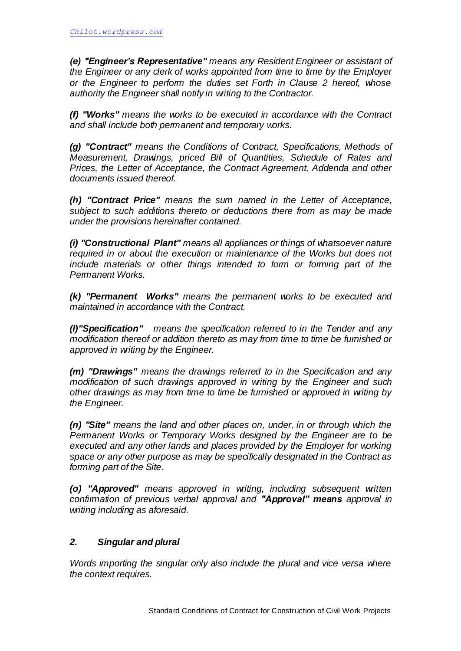*(e) "Engineer's Representative" means any Resident Engineer or assistant of the Engineer or any clerk of works appointed from time to time by the Employer or the Engineer to perform the duties set Forth in Clause 2 hereof, whose authority the Engineer shall notify in writing to the Contractor.*

*(f) "Works" means the works to be executed in accordance with the Contract and shall include both permanent and temporary works.*

*(g) "Contract" means the Conditions of Contract, Specifications, Methods of Measurement, Drawings, priced Bill of Quantities, Schedule of Rates and Prices, the Letter of Acceptance, the Contract Agreement, Addenda and other documents issued thereof.*

*(h) "Contract Price" means the sum named in the Letter of Acceptance, subject to such additions thereto or deductions there from as may be made under the provisions hereinafter contained.*

*(i) "Constructional Plant" means all appliances or things of whatsoever nature required in or about the execution or maintenance of the Works but does not include materials or other things intended to form or forming part of the Permanent Works.*

*(k) "Permanent Works" means the permanent works to be executed and maintained in accordance with the Contract.*

*(l)"Specification" means the specification referred to in the Tender and any modification thereof or addition thereto as may from time to time be furnished or approved in writing by the Engineer.*

*(m) "Drawings" means the drawings referred to in the Specification and any modification of such drawings approved in writing by the Engineer and such other drawings as may from time to time be furnished or approved in writing by the Engineer.*

*(n) "Site" means the land and other places on, under, in or through which the Permanent Works or Temporary Works designed by the Engineer are to be executed and any other lands and places provided by the Employer for working space or any other purpose as may be specifically designated in the Contract as forming part of the Site.*

*(o) "Approved" means approved in writing, including subsequent written confirmation of previous verbal approval and "Approval" means approval in writing including as aforesaid.*

# *2. Singular and plural*

*Words importing the singular only also include the plural and vice versa where the context requires.*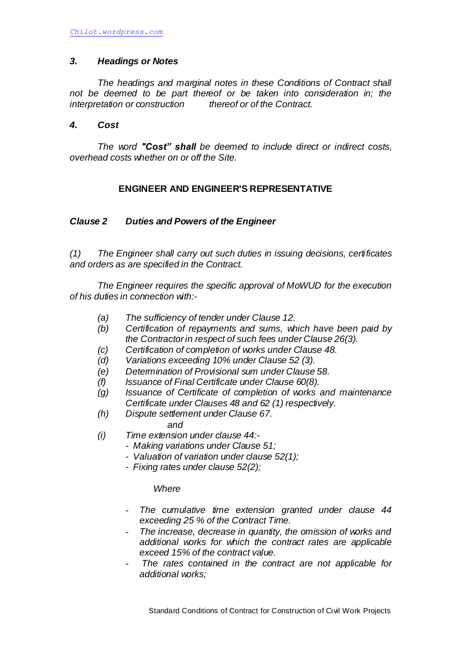#### *3. Headings or Notes*

*The headings and marginal notes in these Conditions of Contract shall not be deemed to be part thereof or be taken into consideration in; the interpretation or construction thereof or of the Contract.*

#### *4. Cost*

*The word "Cost" shall be deemed to include direct or indirect costs, overhead costs whether on or off the Site.*

# **ENGINEER AND ENGINEER'S REPRESENTATIVE**

### *Clause 2 Duties and Powers of the Engineer*

*(1) The Engineer shall carry out such duties in issuing decisions, certificates and orders as are specified in the Contract.*

*The Engineer requires the specific approval of MoWUD for the execution of his duties in connection with:-*

- *(a) The sufficiency of tender under Clause 12.*
- *(b) Certification of repayments and sums, which have been paid by the Contractor in respect of such fees under Clause 26(3).*
- *(c) Certification of completion of works under Clause 48.*
- *(d) Variations exceeding 10% under Clause 52 (3).*
- *(e) Determination of Provisional sum under Clause 58.*
- *(f) Issuance of Final Certificate under Clause 60(8).*
- *(g) Issuance of Certificate of completion of works and maintenance Certificate under Clauses 48 and 62 (1) respectively.*
- *(h) Dispute settlement under Clause 67. and*
- *(i) Time extension under clause 44:-*
	- *Making variations under Clause 51;*
		- *Valuation of variation under clause 52(1);*
		- *Fixing rates under clause 52(2);*

*Where*

- *The cumulative time extension granted under clause 44 exceeding 25 % of the Contract Time.*
- *The increase, decrease in quantity, the omission of works and additional works for which the contract rates are applicable exceed 15% of the contract value.*
- *The rates contained in the contract are not applicable for additional works;*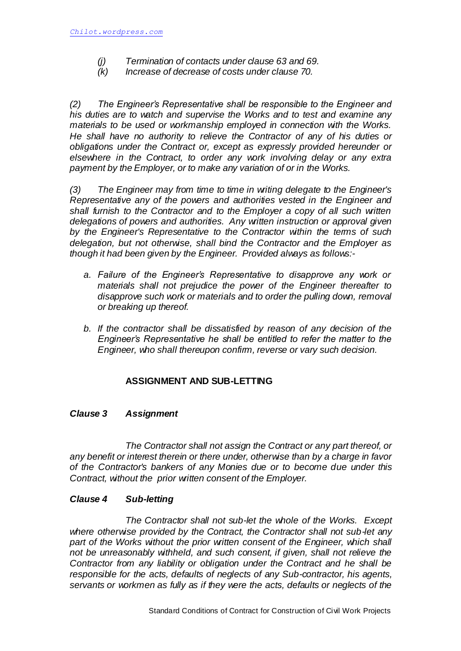- *(j) Termination of contacts under clause 63 and 69.*
- *(k) Increase of decrease of costs under clause 70.*

*(2) The Engineer's Representative shall be responsible to the Engineer and his duties are to watch and supervise the Works and to test and examine any materials to be used or workmanship employed in connection with the Works. He shall have no authority to relieve the Contractor of any of his duties or obligations under the Contract or, except as expressly provided hereunder or elsewhere in the Contract, to order any work involving delay or any extra payment by the Employer, or to make any variation of or in the Works.*

*(3) The Engineer may from time to time in writing delegate to the Engineer's Representative any of the powers and authorities vested in the Engineer and shall furnish to the Contractor and to the Employer a copy of all such written delegations of powers and authorities. Any written instruction or approval given by the Engineer's Representative to the Contractor within the terms of such delegation, but not otherwise, shall bind the Contractor and the Employer as though it had been given by the Engineer. Provided always as follows:-*

- *a. Failure of the Engineer's Representative to disapprove any work or materials shall not prejudice the power of the Engineer thereafter to disapprove such work or materials and to order the pulling down, removal or breaking up thereof.*
- *b. If the contractor shall be dissatisfied by reason of any decision of the Engineer's Representative he shall be entitled to refer the matter to the Engineer, who shall thereupon confirm, reverse or vary such decision.*

# **ASSIGNMENT AND SUB-LETTING**

### *Clause 3 Assignment*

*The Contractor shall not assign the Contract or any part thereof, or any benefit or interest therein or there under, otherwise than by a charge in favor of the Contractor's bankers of any Monies due or to become due under this Contract, without the prior written consent of the Employer.*

### *Clause 4 Sub-letting*

*The Contractor shall not sub-let the whole of the Works. Except where otherwise provided by the Contract, the Contractor shall not sub-let any part of the Works without the prior written consent of the Engineer, which shall not be unreasonably withheld, and such consent, if given, shall not relieve the Contractor from any liability or obligation under the Contract and he shall be responsible for the acts, defaults of neglects of any Sub-contractor, his agents, servants or workmen as fully as if they were the acts, defaults or neglects of the*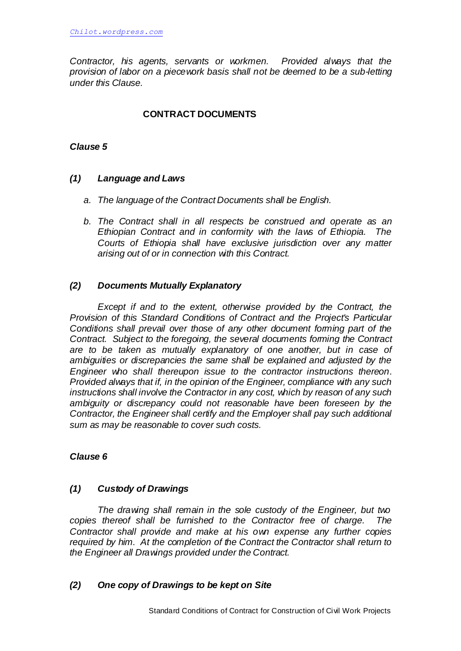*Contractor, his agents, servants or workmen. Provided always that the provision of labor on a piecework basis shall not be deemed to be a sub-letting under this Clause.*

#### **CONTRACT DOCUMENTS**

#### *Clause 5*

#### *(1) Language and Laws*

- *a. The language of the Contract Documents shall be English.*
- *b. The Contract shall in all respects be construed and operate as an Ethiopian Contract and in conformity with the laws of Ethiopia. The Courts of Ethiopia shall have exclusive jurisdiction over any matter arising out of or in connection with this Contract.*

#### *(2) Documents Mutually Explanatory*

*Except if and to the extent, otherwise provided by the Contract, the Provision of this Standard Conditions of Contract and the Project's Particular Conditions shall prevail over those of any other document forming part of the Contract. Subject to the foregoing, the several documents forming the Contract are to be taken as mutually explanatory of one another, but in case of ambiguities or discrepancies the same shall be explained and adjusted by the Engineer who shall thereupon issue to the contractor instructions thereon. Provided always that if, in the opinion of the Engineer, compliance with any such instructions shall involve the Contractor in any cost, which by reason of any such ambiguity or discrepancy could not reasonable have been foreseen by the Contractor, the Engineer shall certify and the Employer shall pay such additional sum as may be reasonable to cover such costs.*

### *Clause 6*

### *(1) Custody of Drawings*

*The drawing shall remain in the sole custody of the Engineer, but two copies thereof shall be furnished to the Contractor free of charge. The Contractor shall provide and make at his own expense any further copies required by him. At the completion of the Contract the Contractor shall return to the Engineer all Drawings provided under the Contract.*

### *(2) One copy of Drawings to be kept on Site*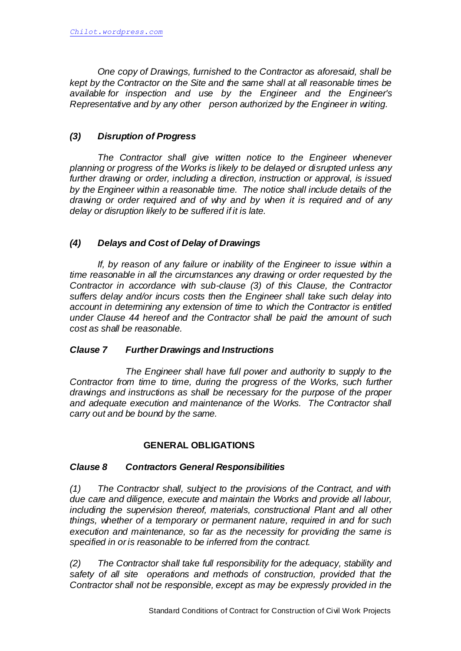*One copy of Drawings, furnished to the Contractor as aforesaid, shall be kept by the Contractor on the Site and the same shall at all reasonable times be available for inspection and use by the Engineer and the Engineer's Representative and by any other person authorized by the Engineer in writing.* 

# *(3) Disruption of Progress*

*The Contractor shall give written notice to the Engineer whenever planning or progress of the Works is likely to be delayed or disrupted unless any further drawing or order, including a direction, instruction or approval, is issued by the Engineer within a reasonable time. The notice shall include details of the drawing or order required and of why and by when it is required and of any delay or disruption likely to be suffered if it is late.*

# *(4) Delays and Cost of Delay of Drawings*

*If, by reason of any failure or inability of the Engineer to issue within a time reasonable in all the circumstances any drawing or order requested by the Contractor in accordance with sub-clause (3) of this Clause, the Contractor suffers delay and/or incurs costs then the Engineer shall take such delay into account in determining any extension of time to which the Contractor is entitled under Clause 44 hereof and the Contractor shall be paid the amount of such cost as shall be reasonable.*

### *Clause 7 Further Drawings and Instructions*

*The Engineer shall have full power and authority to supply to the Contractor from time to time, during the progress of the Works, such further drawings and instructions as shall be necessary for the purpose of the proper and adequate execution and maintenance of the Works. The Contractor shall carry out and be bound by the same.*

# **GENERAL OBLIGATIONS**

### *Clause 8 Contractors General Responsibilities*

*(1) The Contractor shall, subject to the provisions of the Contract, and with due care and diligence, execute and maintain the Works and provide all labour, including the supervision thereof, materials, constructional Plant and all other things, whether of a temporary or permanent nature, required in and for such execution and maintenance, so far as the necessity for providing the same is specified in or is reasonable to be inferred from the contract.*

*(2) The Contractor shall take full responsibility for the adequacy, stability and safety of all site operations and methods of construction, provided that the Contractor shall not be responsible, except as may be expressly provided in the*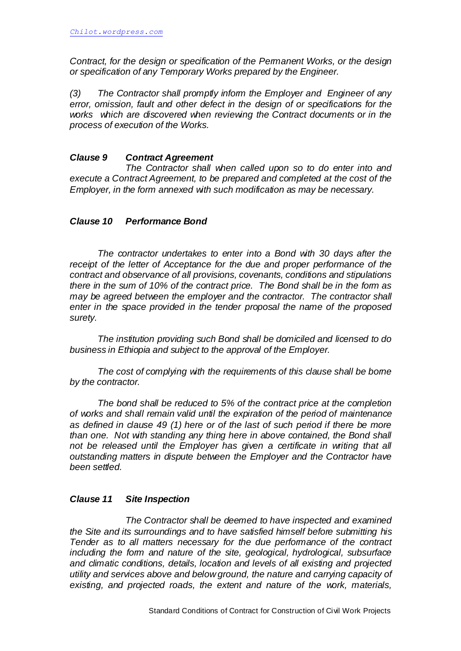*Contract, for the design or specification of the Permanent Works, or the design or specification of any Temporary Works prepared by the Engineer.*

*(3) The Contractor shall promptly inform the Employer and Engineer of any error, omission, fault and other defect in the design of or specifications for the works which are discovered when reviewing the Contract documents or in the process of execution of the Works.*

#### *Clause 9 Contract Agreement*

*The Contractor shall when called upon so to do enter into and execute a Contract Agreement, to be prepared and completed at the cost of the Employer, in the form annexed with such modification as may be necessary.*

#### *Clause 10 Performance Bond*

*The contractor undertakes to enter into a Bond with 30 days after the receipt of the letter of Acceptance for the due and proper performance of the contract and observance of all provisions, covenants, conditions and stipulations there in the sum of 10% of the contract price. The Bond shall be in the form as may be agreed between the employer and the contractor. The contractor shall enter in the space provided in the tender proposal the name of the proposed surety.*

*The institution providing such Bond shall be domiciled and licensed to do business in Ethiopia and subject to the approval of the Employer.*

*The cost of complying with the requirements of this clause shall be borne by the contractor.*

*The bond shall be reduced to 5% of the contract price at the completion of works and shall remain valid until the expiration of the period of maintenance as defined in clause 49 (1) here or of the last of such period if there be more than one. Not with standing any thing here in above contained, the Bond shall*  not be released until the Employer has given a certificate in writing that all *outstanding matters in dispute between the Employer and the Contractor have been settled.* 

#### *Clause 11 Site Inspection*

*The Contractor shall be deemed to have inspected and examined the Site and its surroundings and to have satisfied himself before submitting his Tender as to all matters necessary for the due performance of the contract including the form and nature of the site, geological, hydrological, subsurface and climatic conditions, details, location and levels of all existing and projected utility and services above and below ground, the nature and carrying capacity of existing, and projected roads, the extent and nature of the work, materials,*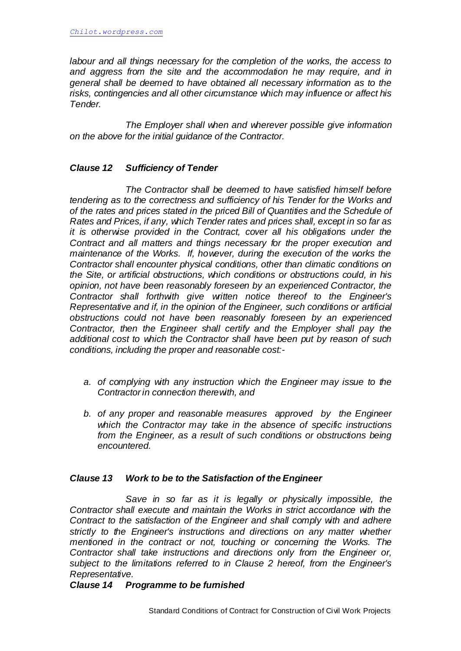*labour and all things necessary for the completion of the works, the access to and aggress from the site and the accommodation he may require, and in general shall be deemed to have obtained all necessary information as to the risks, contingencies and all other circumstance which may influence or affect his Tender.*

*The Employer shall when and wherever possible give information on the above for the initial guidance of the Contractor.*

### *Clause 12 Sufficiency of Tender*

*The Contractor shall be deemed to have satisfied himself before tendering as to the correctness and sufficiency of his Tender for the Works and of the rates and prices stated in the priced Bill of Quantities and the Schedule of Rates and Prices, if any, which Tender rates and prices shall, except in so far as it is otherwise provided in the Contract, cover all his obligations under the Contract and all matters and things necessary for the proper execution and maintenance of the Works. If, however, during the execution of the works the Contractor shall encounter physical conditions, other than climatic conditions on the Site, or artificial obstructions, which conditions or obstructions could, in his opinion, not have been reasonably foreseen by an experienced Contractor, the Contractor shall forthwith give written notice thereof to the Engineer's Representative and if, in the opinion of the Engineer, such conditions or artificial obstructions could not have been reasonably foreseen by an experienced Contractor, then the Engineer shall certify and the Employer shall pay the additional cost to which the Contractor shall have been put by reason of such conditions, including the proper and reasonable cost:-* 

- *a. of complying with any instruction which the Engineer may issue to the Contractor in connection therewith, and*
- *b. of any proper and reasonable measures approved by the Engineer which the Contractor may take in the absence of specific instructions from the Engineer, as a result of such conditions or obstructions being encountered.*

#### *Clause 13 Work to be to the Satisfaction of the Engineer*

*Save in so far as it is legally or physically impossible, the Contractor shall execute and maintain the Works in strict accordance with the Contract to the satisfaction of the Engineer and shall comply with and adhere strictly to the Engineer's instructions and directions on any matter whether mentioned in the contract or not, touching or concerning the Works. The Contractor shall take instructions and directions only from the Engineer or, subject to the limitations referred to in Clause 2 hereof, from the Engineer's Representative.*

#### *Clause 14 Programme to be furnished*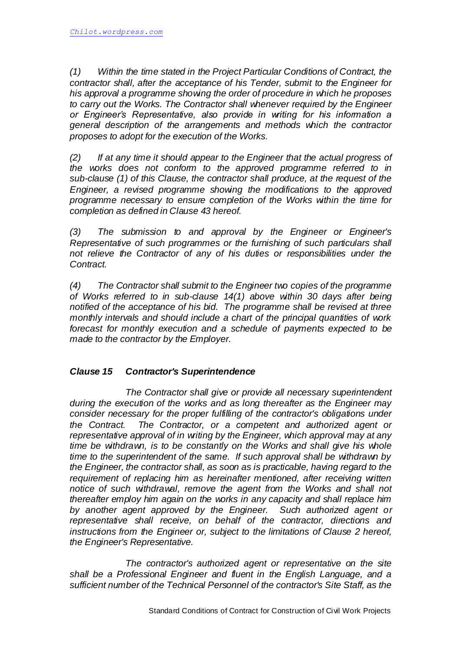*(1) Within the time stated in the Project Particular Conditions of Contract, the contractor shall, after the acceptance of his Tender, submit to the Engineer for his approval a programme showing the order of procedure in which he proposes to carry out the Works. The Contractor shall whenever required by the Engineer or Engineer's Representative, also provide in writing for his information a general description of the arrangements and methods which the contractor proposes to adopt for the execution of the Works.*

*(2) If at any time it should appear to the Engineer that the actual progress of the works does not conform to the approved programme referred to in sub-clause (1) of this Clause, the contractor shall produce, at the request of the Engineer, a revised programme showing the modifications to the approved programme necessary to ensure completion of the Works within the time for completion as defined in Clause 43 hereof.*

*(3) The submission to and approval by the Engineer or Engineer's Representative of such programmes or the furnishing of such particulars shall not relieve the Contractor of any of his duties or responsibilities under the Contract.*

*(4) The Contractor shall submit to the Engineer two copies of the programme of Works referred to in sub-clause 14(1) above within 30 days after being notified of the acceptance of his bid. The programme shall be revised at three monthly intervals and should include a chart of the principal quantities of work forecast for monthly execution and a schedule of payments expected to be made to the contractor by the Employer.*

### *Clause 15 Contractor's Superintendence*

*The Contractor shall give or provide all necessary superintendent during the execution of the works and as long thereafter as the Engineer may consider necessary for the proper fulfilling of the contractor's obligations under the Contract. The Contractor, or a competent and authorized agent or representative approval of in writing by the Engineer, which approval may at any time be withdrawn, is to be constantly on the Works and shall give his whole time to the superintendent of the same. If such approval shall be withdrawn by the Engineer, the contractor shall, as soon as is practicable, having regard to the requirement of replacing him as hereinafter mentioned, after receiving written notice of such withdrawal, remove the agent from the Works and shall not thereafter employ him again on the works in any capacity and shall replace him by another agent approved by the Engineer. Such authorized agent or representative shall receive, on behalf of the contractor, directions and instructions from the Engineer or, subject to the limitations of Clause 2 hereof, the Engineer's Representative.*

*The contractor's authorized agent or representative on the site shall be a Professional Engineer and fluent in the English Language, and a sufficient number of the Technical Personnel of the contractor's Site Staff, as the*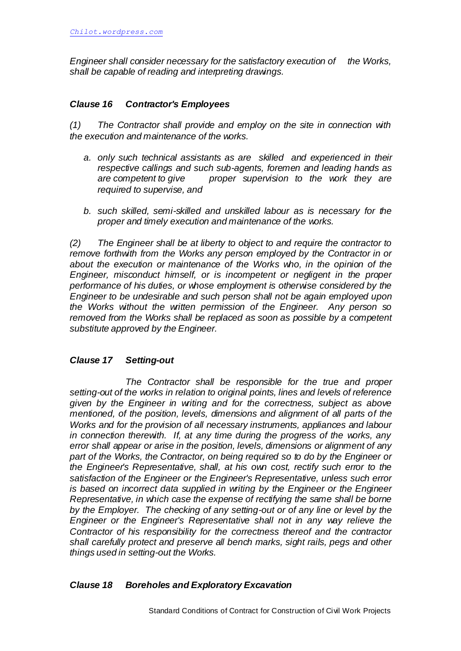*Engineer shall consider necessary for the satisfactory execution of the Works, shall be capable of reading and interpreting drawings.*

#### *Clause 16 Contractor's Employees*

*(1) The Contractor shall provide and employ on the site in connection with the execution and maintenance of the works.*

- *a. only such technical assistants as are skilled and experienced in their respective callings and such sub-agents, foremen and leading hands as are competent to give proper supervision to the work they are required to supervise, and*
- *b. such skilled, semi-skilled and unskilled labour as is necessary for the proper and timely execution and maintenance of the works.*

*(2) The Engineer shall be at liberty to object to and require the contractor to remove forthwith from the Works any person employed by the Contractor in or about the execution or maintenance of the Works who, in the opinion of the Engineer, misconduct himself, or is incompetent or negligent in the proper performance of his duties, or whose employment is otherwise considered by the Engineer to be undesirable and such person shall not be again employed upon the Works without the written permission of the Engineer. Any person so removed from the Works shall be replaced as soon as possible by a competent substitute approved by the Engineer.*

#### *Clause 17 Setting-out*

*The Contractor shall be responsible for the true and proper setting-out of the works in relation to original points, lines and levels of reference given by the Engineer in writing and for the correctness, subject as above mentioned, of the position, levels, dimensions and alignment of all parts of the Works and for the provision of all necessary instruments, appliances and labour in connection therewith. If, at any time during the progress of the works, any error shall appear or arise in the position, levels, dimensions or alignment of any part of the Works, the Contractor, on being required so to do by the Engineer or the Engineer's Representative, shall, at his own cost, rectify such error to the satisfaction of the Engineer or the Engineer's Representative, unless such error is based on incorrect data supplied in writing by the Engineer or the Engineer Representative, in which case the expense of rectifying the same shall be borne by the Employer. The checking of any setting-out or of any line or level by the Engineer or the Engineer's Representative shall not in any way relieve the Contractor of his responsibility for the correctness thereof and the contractor shall carefully protect and preserve all bench marks, sight rails, pegs and other things used in setting-out the Works.*

### *Clause 18 Boreholes and Exploratory Excavation*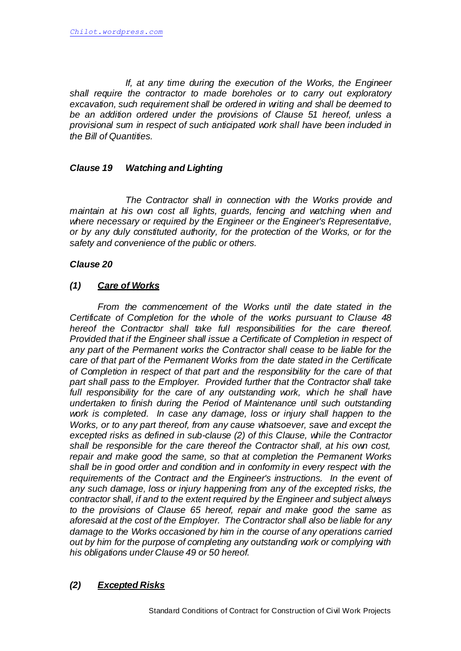*If, at any time during the execution of the Works, the Engineer shall require the contractor to made boreholes or to carry out exploratory excavation, such requirement shall be ordered in writing and shall be deemed to be an addition ordered under the provisions of Clause 51 hereof, unless a provisional sum in respect of such anticipated work shall have been included in the Bill of Quantities.*

## *Clause 19 Watching and Lighting*

*The Contractor shall in connection with the Works provide and maintain at his own cost all lights, guards, fencing and watching when and where necessary or required by the Engineer or the Engineer's Representative, or by any duly constituted authority, for the protection of the Works, or for the safety and convenience of the public or others.*

### *Clause 20*

### *(1) Care of Works*

*From the commencement of the Works until the date stated in the Certificate of Completion for the whole of the works pursuant to Clause 48 hereof the Contractor shall take full responsibilities for the care thereof. Provided that if the Engineer shall issue a Certificate of Completion in respect of any part of the Permanent works the Contractor shall cease to be liable for the care of that part of the Permanent Works from the date stated in the Certificate of Completion in respect of that part and the responsibility for the care of that part shall pass to the Employer. Provided further that the Contractor shall take*  full responsibility for the care of any outstanding work, which he shall have *undertaken to finish during the Period of Maintenance until such outstanding work is completed. In case any damage, loss or injury shall happen to the Works, or to any part thereof, from any cause whatsoever, save and except the excepted risks as defined in sub-clause (2) of this Clause, while the Contractor shall be responsible for the care thereof the Contractor shall, at his own cost, repair and make good the same, so that at completion the Permanent Works shall be in good order and condition and in conformity in every respect with the requirements of the Contract and the Engineer's instructions. In the event of any such damage, loss or injury happening from any of the excepted risks, the contractor shall, if and to the extent required by the Engineer and subject always to the provisions of Clause 65 hereof, repair and make good the same as aforesaid at the cost of the Employer. The Contractor shall also be liable for any damage to the Works occasioned by him in the course of any operations carried out by him for the purpose of completing any outstanding work or complying with his obligations under Clause 49 or 50 hereof.*

# *(2) Excepted Risks*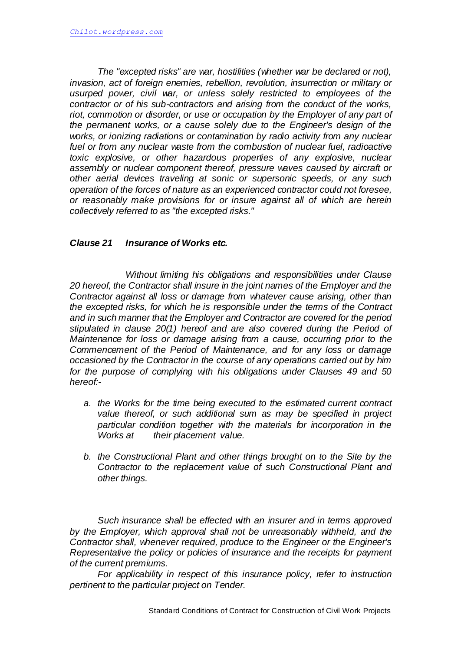*The "excepted risks" are war, hostilities (whether war be declared or not), invasion, act of foreign enemies, rebellion, revolution, insurrection or military or usurped power, civil war, or unless solely restricted to employees of the contractor or of his sub-contractors and arising from the conduct of the works, riot, commotion or disorder, or use or occupation by the Employer of any part of the permanent works, or a cause solely due to the Engineer's design of the works, or ionizing radiations or contamination by radio activity from any nuclear fuel or from any nuclear waste from the combustion of nuclear fuel, radioactive toxic explosive, or other hazardous properties of any explosive, nuclear assembly or nuclear component thereof, pressure waves caused by aircraft or other aerial devices traveling at sonic or supersonic speeds, or any such operation of the forces of nature as an experienced contractor could not foresee, or reasonably make provisions for or insure against all of which are herein collectively referred to as "the excepted risks."*

#### *Clause 21 Insurance of Works etc.*

*Without limiting his obligations and responsibilities under Clause 20 hereof, the Contractor shall insure in the joint names of the Employer and the Contractor against all loss or damage from whatever cause arising, other than the excepted risks, for which he is responsible under the terms of the Contract and in such manner that the Employer and Contractor are covered for the period stipulated in clause 20(1) hereof and are also covered during the Period of Maintenance for loss or damage arising from a cause, occurring prior to the Commencement of the Period of Maintenance, and for any loss or damage occasioned by the Contractor in the course of any operations carried out by him for the purpose of complying with his obligations under Clauses 49 and 50 hereof:-*

- *a. the Works for the time being executed to the estimated current contract value thereof, or such additional sum as may be specified in project particular condition together with the materials for incorporation in the Works at their placement value.*
- *b. the Constructional Plant and other things brought on to the Site by the Contractor to the replacement value of such Constructional Plant and other things.*

*Such insurance shall be effected with an insurer and in terms approved by the Employer, which approval shall not be unreasonably withheld, and the Contractor shall, whenever required, produce to the Engineer or the Engineer's Representative the policy or policies of insurance and the receipts for payment of the current premiums.*

*For applicability in respect of this insurance policy, refer to instruction pertinent to the particular project on Tender.*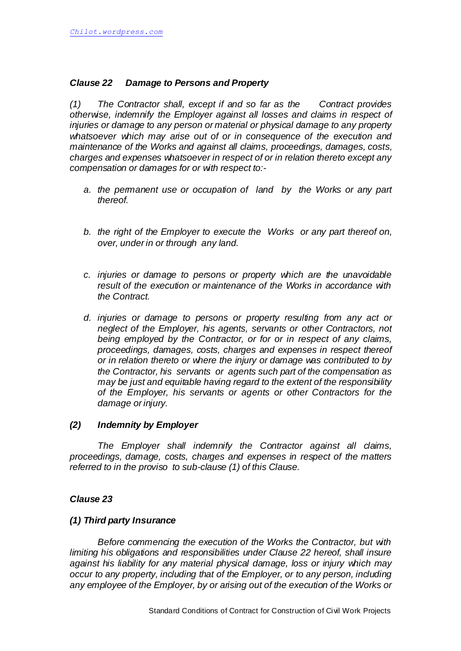#### *Clause 22 Damage to Persons and Property*

*(1) The Contractor shall, except if and so far as the Contract provides otherwise, indemnify the Employer against all losses and claims in respect of injuries or damage to any person or material or physical damage to any property whatsoever which may arise out of or in consequence of the execution and maintenance of the Works and against all claims, proceedings, damages, costs, charges and expenses whatsoever in respect of or in relation thereto except any compensation or damages for or with respect to:-*

- *a. the permanent use or occupation of land by the Works or any part thereof.*
- *b. the right of the Employer to execute the Works or any part thereof on, over, under in or through any land.*
- *c. injuries or damage to persons or property which are the unavoidable result of the execution or maintenance of the Works in accordance with the Contract.*
- *d. injuries or damage to persons or property resulting from any act or neglect of the Employer, his agents, servants or other Contractors, not being employed by the Contractor, or for or in respect of any claims, proceedings, damages, costs, charges and expenses in respect thereof or in relation thereto or where the injury or damage was contributed to by the Contractor, his servants or agents such part of the compensation as may be just and equitable having regard to the extent of the responsibility of the Employer, his servants or agents or other Contractors for the damage or injury.*

#### *(2) Indemnity by Employer*

*The Employer shall indemnify the Contractor against all claims, proceedings, damage, costs, charges and expenses in respect of the matters referred to in the proviso to sub-clause (1) of this Clause.*

#### *Clause 23*

#### *(1) Third party Insurance*

*Before commencing the execution of the Works the Contractor, but with limiting his obligations and responsibilities under Clause 22 hereof, shall insure against his liability for any material physical damage, loss or injury which may occur to any property, including that of the Employer, or to any person, including any employee of the Employer, by or arising out of the execution of the Works or*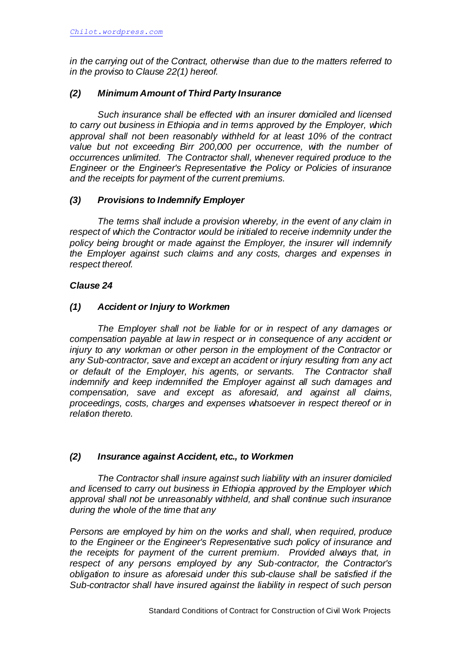*in the carrying out of the Contract, otherwise than due to the matters referred to in the proviso to Clause 22(1) hereof.*

### *(2) Minimum Amount of Third Party Insurance*

*Such insurance shall be effected with an insurer domiciled and licensed to carry out business in Ethiopia and in terms approved by the Employer, which approval shall not been reasonably withheld for at least 10% of the contract*  value but not exceeding Birr 200,000 per occurrence, with the number of *occurrences unlimited. The Contractor shall, whenever required produce to the Engineer or the Engineer's Representative the Policy or Policies of insurance and the receipts for payment of the current premiums.*

#### *(3) Provisions to Indemnify Employer*

*The terms shall include a provision whereby, in the event of any claim in respect of which the Contractor would be initialed to receive indemnity under the*  policy being brought or made against the Employer, the insurer will indemnify *the Employer against such claims and any costs, charges and expenses in respect thereof.*

#### *Clause 24*

### *(1) Accident or Injury to Workmen*

*The Employer shall not be liable for or in respect of any damages or compensation payable at law in respect or in consequence of any accident or*  injury to any workman or other person in the employment of the Contractor or *any Sub-contractor, save and except an accident or injury resulting from any act or default of the Employer, his agents, or servants. The Contractor shall indemnify and keep indemnified the Employer against all such damages and compensation, save and except as aforesaid, and against all claims, proceedings, costs, charges and expenses whatsoever in respect thereof or in relation thereto.*

### *(2) Insurance against Accident, etc., to Workmen*

*The Contractor shall insure against such liability with an insurer domiciled and licensed to carry out business in Ethiopia approved by the Employer which approval shall not be unreasonably withheld, and shall continue such insurance during the whole of the time that any* 

*Persons are employed by him on the works and shall, when required, produce to the Engineer or the Engineer's Representative such policy of insurance and the receipts for payment of the current premium. Provided always that, in respect of any persons employed by any Sub-contractor, the Contractor's obligation to insure as aforesaid under this sub-clause shall be satisfied if the Sub-contractor shall have insured against the liability in respect of such person*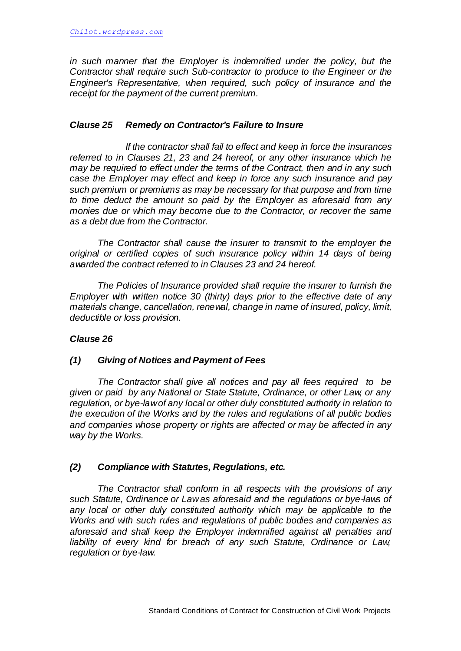*in such manner that the Employer is indemnified under the policy, but the Contractor shall require such Sub-contractor to produce to the Engineer or the Engineer's Representative, when required, such policy of insurance and the receipt for the payment of the current premium.*

#### *Clause 25 Remedy on Contractor's Failure to Insure*

*If the contractor shall fail to effect and keep in force the insurances referred to in Clauses 21, 23 and 24 hereof, or any other insurance which he may be required to effect under the terms of the Contract, then and in any such case the Employer may effect and keep in force any such insurance and pay such premium or premiums as may be necessary for that purpose and from time to time deduct the amount so paid by the Employer as aforesaid from any monies due or which may become due to the Contractor, or recover the same as a debt due from the Contractor.*

*The Contractor shall cause the insurer to transmit to the employer the original or certified copies of such insurance policy within 14 days of being awarded the contract referred to in Clauses 23 and 24 hereof.*

*The Policies of Insurance provided shall require the insurer to furnish the Employer with written notice 30 (thirty) days prior to the effective date of any materials change, cancellation, renewal, change in name of insured, policy, limit, deductible or loss provision.*

#### *Clause 26*

#### *(1) Giving of Notices and Payment of Fees*

*The Contractor shall give all notices and pay all fees required to be given or paid by any National or State Statute, Ordinance, or other Law, or any regulation, or bye-law of any local or other duly constituted authority in relation to the execution of the Works and by the rules and regulations of all public bodies and companies whose property or rights are affected or may be affected in any way by the Works.*

#### *(2) Compliance with Statutes, Regulations, etc.*

*The Contractor shall conform in all respects with the provisions of any such Statute, Ordinance or Law as aforesaid and the regulations or bye-laws of any local or other duly constituted authority which may be applicable to the Works and with such rules and regulations of public bodies and companies as aforesaid and shall keep the Employer indemnified against all penalties and liability of every kind for breach of any such Statute, Ordinance or Law, regulation or bye-law.*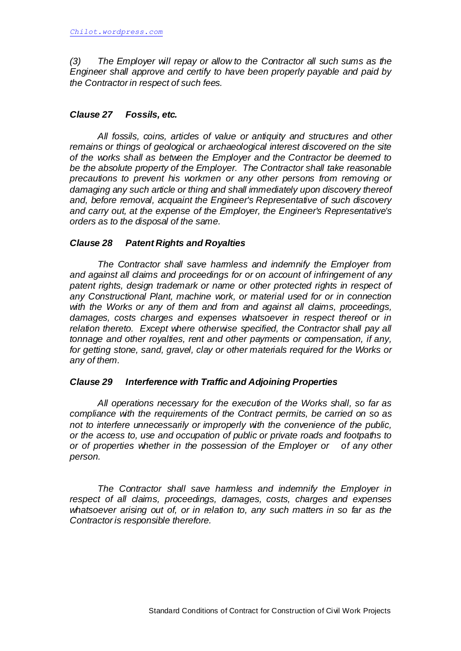*(3) The Employer will repay or allow to the Contractor all such sums as the Engineer shall approve and certify to have been properly payable and paid by the Contractor in respect of such fees.*

#### *Clause 27 Fossils, etc.*

*All fossils, coins, articles of value or antiquity and structures and other remains or things of geological or archaeological interest discovered on the site of the works shall as between the Employer and the Contractor be deemed to be the absolute property of the Employer. The Contractor shall take reasonable precautions to prevent his workmen or any other persons from removing or damaging any such article or thing and shall immediately upon discovery thereof and, before removal, acquaint the Engineer's Representative of such discovery and carry out, at the expense of the Employer, the Engineer's Representative's orders as to the disposal of the same.*

#### *Clause 28 Patent Rights and Royalties*

*The Contractor shall save harmless and indemnify the Employer from and against all claims and proceedings for or on account of infringement of any patent rights, design trademark or name or other protected rights in respect of any Constructional Plant, machine work, or material used for or in connection with the Works or any of them and from and against all claims, proceedings, damages, costs charges and expenses whatsoever in respect thereof or in*  relation thereto. Except where otherwise specified, the Contractor shall pay all *tonnage and other royalties, rent and other payments or compensation, if any,*  for getting stone, sand, gravel, clay or other materials required for the Works or *any of them.*

#### *Clause 29 Interference with Traffic and Adjoining Properties*

*All operations necessary for the execution of the Works shall, so far as compliance with the requirements of the Contract permits, be carried on so as not to interfere unnecessarily or improperly with the convenience of the public, or the access to, use and occupation of public or private roads and footpaths to or of properties whether in the possession of the Employer or of any other person.* 

*The Contractor shall save harmless and indemnify the Employer in respect of all claims, proceedings, damages, costs, charges and expenses*  whatsoever arising out of, or in relation to, any such matters in so far as the *Contractor is responsible therefore.*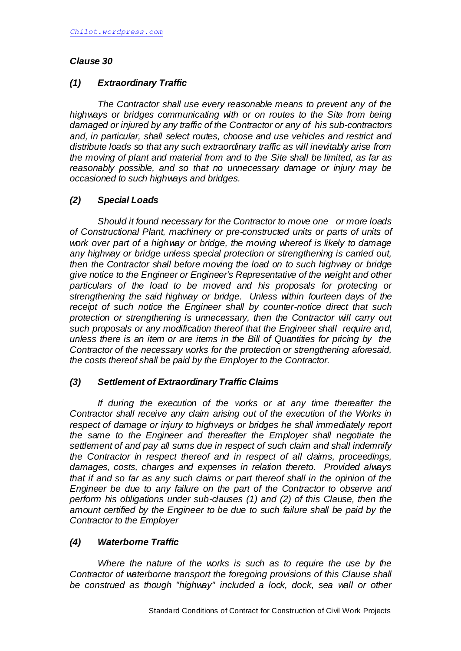#### *Clause 30*

#### *(1) Extraordinary Traffic*

*The Contractor shall use every reasonable means to prevent any of the highways or bridges communicating with or on routes to the Site from being damaged or injured by any traffic of the Contractor or any of his sub-contractors and, in particular, shall select routes, choose and use vehicles and restrict and distribute loads so that any such extraordinary traffic as will inevitably arise from the moving of plant and material from and to the Site shall be limited, as far as reasonably possible, and so that no unnecessary damage or injury may be occasioned to such highways and bridges.*

### *(2) Special Loads*

*Should it found necessary for the Contractor to move one or more loads of Constructional Plant, machinery or pre-constructed units or parts of units of work over part of a highway or bridge, the moving whereof is likely to damage any highway or bridge unless special protection or strengthening is carried out, then the Contractor shall before moving the load on to such highway or bridge give notice to the Engineer or Engineer's Representative of the weight and other particulars of the load to be moved and his proposals for protecting or strengthening the said highway or bridge. Unless within fourteen days of the receipt of such notice the Engineer shall by counter-notice direct that such protection or strengthening is unnecessary, then the Contractor will carry out such proposals or any modification thereof that the Engineer shall require and, unless there is an item or are items in the Bill of Quantities for pricing by the Contractor of the necessary works for the protection or strengthening aforesaid, the costs thereof shall be paid by the Employer to the Contractor.*

### *(3) Settlement of Extraordinary Traffic Claims*

*If during the execution of the works or at any time thereafter the Contractor shall receive any claim arising out of the execution of the Works in*  respect of damage or injury to highways or bridges he shall immediately report *the same to the Engineer and thereafter the Employer shall negotiate the settlement of and pay all sums due in respect of such claim and shall indemnify the Contractor in respect thereof and in respect of all claims, proceedings, damages, costs, charges and expenses in relation thereto. Provided always that if and so far as any such claims or part thereof shall in the opinion of the Engineer be due to any failure on the part of the Contractor to observe and perform his obligations under sub-clauses (1) and (2) of this Clause, then the amount certified by the Engineer to be due to such failure shall be paid by the Contractor to the Employer*

### *(4) Waterborne Traffic*

*Where the nature of the works is such as to require the use by the Contractor of waterborne transport the foregoing provisions of this Clause shall be construed as though "highway" included a lock, dock, sea wall or other*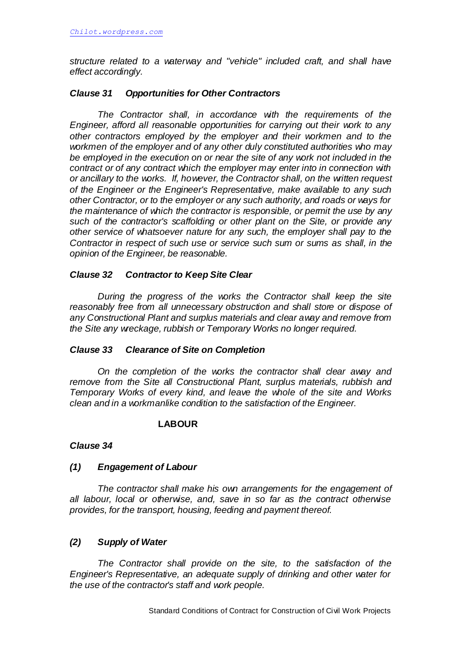*structure related to a waterway and "vehicle" included craft, and shall have effect accordingly.*

#### *Clause 31 Opportunities for Other Contractors*

*The Contractor shall, in accordance with the requirements of the Engineer, afford all reasonable opportunities for carrying out their work to any other contractors employed by the employer and their workmen and to the workmen of the employer and of any other duly constituted authorities who may be employed in the execution on or near the site of any work not included in the contract or of any contract which the employer may enter into in connection with or ancillary to the works. If, however, the Contractor shall, on the written request of the Engineer or the Engineer's Representative, make available to any such other Contractor, or to the employer or any such authority, and roads or ways for the maintenance of which the contractor is responsible, or permit the use by any such of the contractor's scaffolding or other plant on the Site, or provide any other service of whatsoever nature for any such, the employer shall pay to the Contractor in respect of such use or service such sum or sums as shall, in the opinion of the Engineer, be reasonable.*

#### *Clause 32 Contractor to Keep Site Clear*

*During the progress of the works the Contractor shall keep the site reasonably free from all unnecessary obstruction and shall store or dispose of any Constructional Plant and surplus materials and clear away and remove from the Site any wreckage, rubbish or Temporary Works no longer required.*

#### *Clause 33 Clearance of Site on Completion*

*On the completion of the works the contractor shall clear away and remove from the Site all Constructional Plant, surplus materials, rubbish and Temporary Works of every kind, and leave the whole of the site and Works clean and in a workmanlike condition to the satisfaction of the Engineer.*

### **LABOUR**

#### *Clause 34*

#### *(1) Engagement of Labour*

*The contractor shall make his own arrangements for the engagement of all labour, local or otherwise, and, save in so far as the contract otherwise provides, for the transport, housing, feeding and payment thereof.*

### *(2) Supply of Water*

*The Contractor shall provide on the site, to the satisfaction of the Engineer's Representative, an adequate supply of drinking and other water for the use of the contractor's staff and work people.*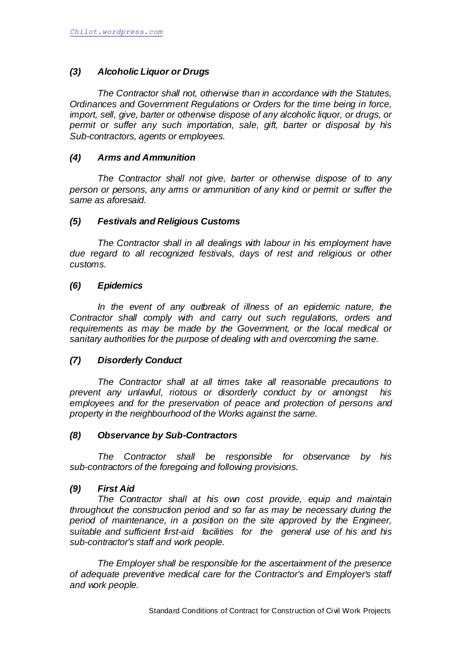#### *(3) Alcoholic Liquor or Drugs*

*The Contractor shall not, otherwise than in accordance with the Statutes, Ordinances and Government Regulations or Orders for the time being in force, import, sell, give, barter or otherwise dispose of any alcoholic liquor, or drugs, or permit or suffer any such importation, sale, gift, barter or disposal by his Sub-contractors, agents or employees.*

#### *(4) Arms and Ammunition*

*The Contractor shall not give, barter or otherwise dispose of to any person or persons, any arms or ammunition of any kind or permit or suffer the same as aforesaid.*

#### *(5) Festivals and Religious Customs*

*The Contractor shall in all dealings with labour in his employment have due regard to all recognized festivals, days of rest and religious or other customs.* 

#### *(6) Epidemics*

*In the event of any outbreak of illness of an epidemic nature, the Contractor shall comply with and carry out such regulations, orders and requirements as may be made by the Government, or the local medical or sanitary authorities for the purpose of dealing with and overcoming the same.*

#### *(7) Disorderly Conduct*

*The Contractor shall at all times take all reasonable precautions to*  prevent any unlawful, riotous or disorderly conduct by or amongst *employees and for the preservation of peace and protection of persons and property in the neighbourhood of the Works against the same.*

#### *(8) Observance by Sub-Contractors*

*The Contractor shall be responsible for observance by his sub-contractors of the foregoing and following provisions.*

#### *(9) First Aid*

*The Contractor shall at his own cost provide, equip and maintain throughout the construction period and so far as may be necessary during the period of maintenance, in a position on the site approved by the Engineer, suitable and sufficient first-aid facilities for the general use of his and his sub-contractor's staff and work people.*

*The Employer shall be responsible for the ascertainment of the presence of adequate preventive medical care for the Contractor's and Employer's staff and work people.*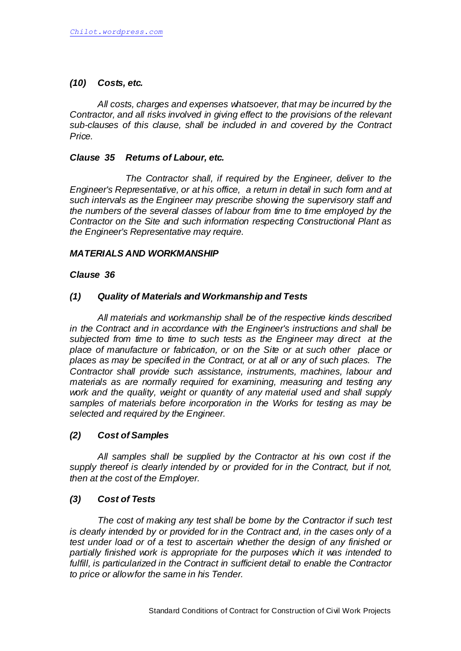#### *(10) Costs, etc.*

*All costs, charges and expenses whatsoever, that may be incurred by the Contractor, and all risks involved in giving effect to the provisions of the relevant sub-clauses of this clause, shall be included in and covered by the Contract Price.*

#### *Clause 35 Returns of Labour, etc.*

*The Contractor shall, if required by the Engineer, deliver to the Engineer's Representative, or at his office, a return in detail in such form and at such intervals as the Engineer may prescribe showing the supervisory staff and the numbers of the several classes of labour from time to time employed by the Contractor on the Site and such information respecting Constructional Plant as the Engineer's Representative may require.*

#### *MATERIALS AND WORKMANSHIP*

#### *Clause 36*

#### *(1) Quality of Materials and Workmanship and Tests*

*All materials and workmanship shall be of the respective kinds described in the Contract and in accordance with the Engineer's instructions and shall be subjected from time to time to such tests as the Engineer may direct at the place of manufacture or fabrication, or on the Site or at such other place or places as may be specified in the Contract, or at all or any of such places. The Contractor shall provide such assistance, instruments, machines, labour and materials as are normally required for examining, measuring and testing any work and the quality, weight or quantity of any material used and shall supply samples of materials before incorporation in the Works for testing as may be selected and required by the Engineer.*

### *(2) Cost of Samples*

*All samples shall be supplied by the Contractor at his own cost if the supply thereof is clearly intended by or provided for in the Contract, but if not, then at the cost of the Employer.*

#### *(3) Cost of Tests*

*The cost of making any test shall be borne by the Contractor if such test is clearly intended by or provided for in the Contract and, in the cases only of a test under load or of a test to ascertain whether the design of any finished or partially finished work is appropriate for the purposes which it was intended to*  fulfill, is particularized in the Contract in sufficient detail to enable the Contractor *to price or allow for the same in his Tender.*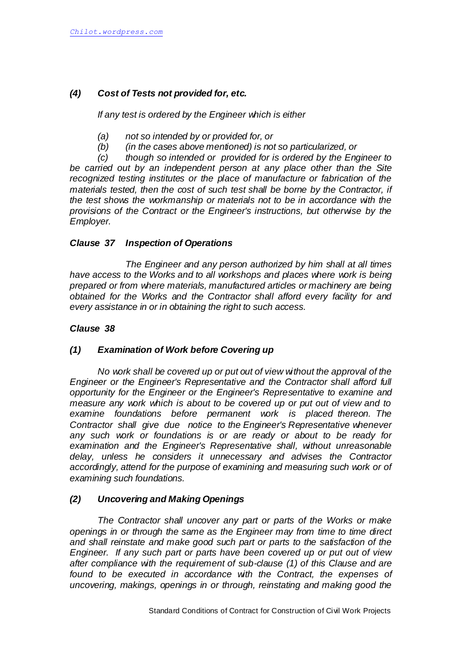# *(4) Cost of Tests not provided for, etc.*

*If any test is ordered by the Engineer which is either*

- *(a) not so intended by or provided for, or*
- *(b) (in the cases above mentioned) is not so particularized, or*

*(c) though so intended or provided for is ordered by the Engineer to be carried out by an independent person at any place other than the Site recognized testing institutes or the place of manufacture or fabrication of the materials tested, then the cost of such test shall be borne by the Contractor, if the test shows the workmanship or materials not to be in accordance with the provisions of the Contract or the Engineer's instructions, but otherwise by the Employer.*

### *Clause 37 Inspection of Operations*

*The Engineer and any person authorized by him shall at all times have access to the Works and to all workshops and places where work is being prepared or from where materials, manufactured articles or machinery are being obtained for the Works and the Contractor shall afford every facility for and every assistance in or in obtaining the right to such access.*

#### *Clause 38*

### *(1) Examination of Work before Covering up*

*No work shall be covered up or put out of view without the approval of the Engineer or the Engineer's Representative and the Contractor shall afford full opportunity for the Engineer or the Engineer's Representative to examine and measure any work which is about to be covered up or put out of view and to examine foundations before permanent work is placed thereon. The Contractor shall give due notice to the Engineer's Representative whenever any such work or foundations is or are ready or about to be ready for examination and the Engineer's Representative shall, without unreasonable delay, unless he considers it unnecessary and advises the Contractor*  accordingly, attend for the purpose of examining and measuring such work or of *examining such foundations.*

### *(2) Uncovering and Making Openings*

*The Contractor shall uncover any part or parts of the Works or make openings in or through the same as the Engineer may from time to time direct and shall reinstate and make good such part or parts to the satisfaction of the Engineer. If any such part or parts have been covered up or put out of view after compliance with the requirement of sub-clause (1) of this Clause and are found to be executed in accordance with the Contract, the expenses of uncovering, makings, openings in or through, reinstating and making good the*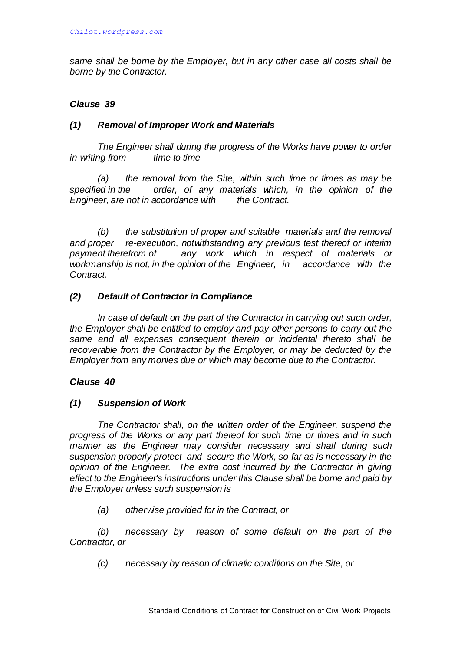*same shall be borne by the Employer, but in any other case all costs shall be borne by the Contractor.*

#### *Clause 39*

### *(1) Removal of Improper Work and Materials*

*The Engineer shall during the progress of the Works have power to order in writing from time to time* 

*(a) the removal from the Site, within such time or times as may be specified in the order, of any materials which, in the opinion of the Engineer, are not in accordance with the Contract.*

*(b) the substitution of proper and suitable materials and the removal and proper re-execution, notwithstanding any previous test thereof or interim payment therefrom of any work which in respect of materials or workmanship is not, in the opinion of the Engineer, in accordance with the Contract.*

### *(2) Default of Contractor in Compliance*

*In case of default on the part of the Contractor in carrying out such order, the Employer shall be entitled to employ and pay other persons to carry out the same and all expenses consequent therein or incidental thereto shall be recoverable from the Contractor by the Employer, or may be deducted by the Employer from any monies due or which may become due to the Contractor.*

#### *Clause 40*

### *(1) Suspension of Work*

*The Contractor shall, on the written order of the Engineer, suspend the progress of the Works or any part thereof for such time or times and in such manner as the Engineer may consider necessary and shall during such suspension properly protect and secure the Work, so far as is necessary in the opinion of the Engineer. The extra cost incurred by the Contractor in giving effect to the Engineer's instructions under this Clause shall be borne and paid by the Employer unless such suspension is*

*(a) otherwise provided for in the Contract, or*

*(b) necessary by reason of some default on the part of the Contractor, or* 

*(c) necessary by reason of climatic conditions on the Site, or*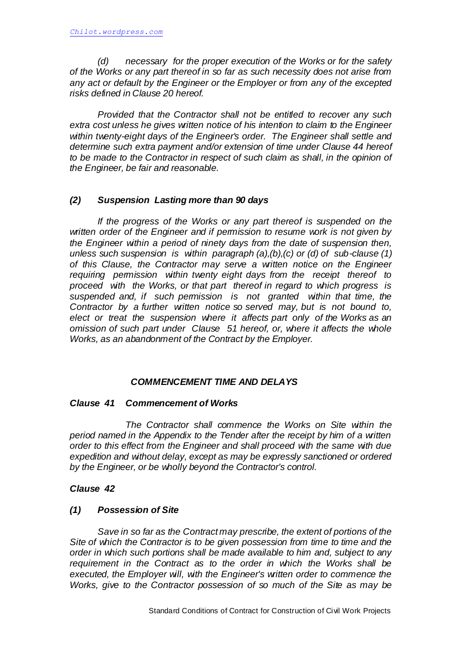*(d) necessary for the proper execution of the Works or for the safety of the Works or any part thereof in so far as such necessity does not arise from any act or default by the Engineer or the Employer or from any of the excepted risks defined in Clause 20 hereof.*

*Provided that the Contractor shall not be entitled to recover any such extra cost unless he gives written notice of his intention to claim to the Engineer within twenty-eight days of the Engineer's order. The Engineer shall settle and determine such extra payment and/or extension of time under Clause 44 hereof to be made to the Contractor in respect of such claim as shall, in the opinion of the Engineer, be fair and reasonable.*

# *(2) Suspension Lasting more than 90 days*

*If the progress of the Works or any part thereof is suspended on the written order of the Engineer and if permission to resume work is not given by the Engineer within a period of ninety days from the date of suspension then, unless such suspension is within paragraph (a),(b),(c) or (d) of sub-clause (1) of this Clause, the Contractor may serve a written notice on the Engineer*  requiring permission within twenty eight days from the receipt thereof to *proceed with the Works, or that part thereof in regard to which progress is suspended and, if such permission is not granted within that time, the Contractor by a further written notice so served may, but is not bound to, elect or treat the suspension where it affects part only of the Works as an omission of such part under Clause 51 hereof, or, where it affects the whole Works, as an abandonment of the Contract by the Employer.*

### *COMMENCEMENT TIME AND DELAYS*

### *Clause 41 Commencement of Works*

*The Contractor shall commence the Works on Site within the period named in the Appendix to the Tender after the receipt by him of a written order to this effect from the Engineer and shall proceed with the same with due expedition and without delay, except as may be expressly sanctioned or ordered by the Engineer, or be wholly beyond the Contractor's control.*

### *Clause 42*

### *(1) Possession of Site*

*Save in so far as the Contract may prescribe, the extent of portions of the Site of which the Contractor is to be given possession from time to time and the order in which such portions shall be made available to him and, subject to any requirement in the Contract as to the order in which the Works shall be executed, the Employer will, with the Engineer's written order to commence the Works, give to the Contractor possession of so much of the Site as may be*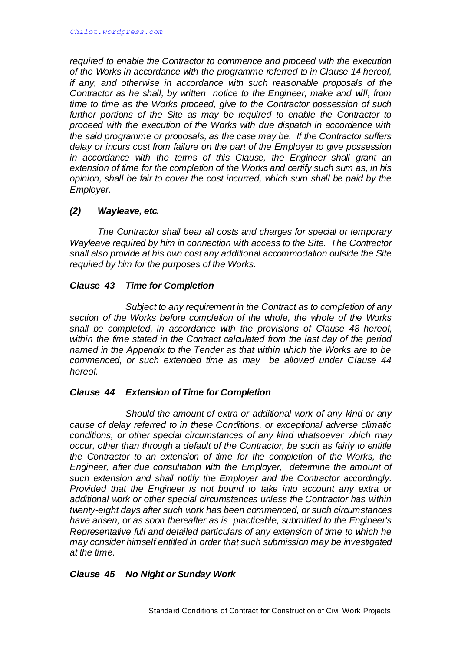*required to enable the Contractor to commence and proceed with the execution of the Works in accordance with the programme referred to in Clause 14 hereof, if any, and otherwise in accordance with such reasonable proposals of the Contractor as he shall, by written notice to the Engineer, make and will, from time to time as the Works proceed, give to the Contractor possession of such further portions of the Site as may be required to enable the Contractor to proceed with the execution of the Works with due dispatch in accordance with the said programme or proposals, as the case may be. If the Contractor suffers delay or incurs cost from failure on the part of the Employer to give possession in accordance with the terms of this Clause, the Engineer shall grant an extension of time for the completion of the Works and certify such sum as, in his opinion, shall be fair to cover the cost incurred, which sum shall be paid by the Employer.*

#### *(2) Wayleave, etc.*

*The Contractor shall bear all costs and charges for special or temporary Wayleave required by him in connection with access to the Site. The Contractor shall also provide at his own cost any additional accommodation outside the Site required by him for the purposes of the Works.*

#### *Clause 43 Time for Completion*

*Subject to any requirement in the Contract as to completion of any section of the Works before completion of the whole, the whole of the Works shall be completed, in accordance with the provisions of Clause 48 hereof, within the time stated in the Contract calculated from the last day of the period named in the Appendix to the Tender as that within which the Works are to be commenced, or such extended time as may be allowed under Clause 44 hereof.* 

### *Clause 44 Extension of Time for Completion*

*Should the amount of extra or additional work of any kind or any cause of delay referred to in these Conditions, or exceptional adverse climatic conditions, or other special circumstances of any kind whatsoever which may occur, other than through a default of the Contractor, be such as fairly to entitle the Contractor to an extension of time for the completion of the Works, the Engineer, after due consultation with the Employer, determine the amount of such extension and shall notify the Employer and the Contractor accordingly. Provided that the Engineer is not bound to take into account any extra or additional work or other special circumstances unless the Contractor has within twenty-eight days after such work has been commenced, or such circumstances have arisen, or as soon thereafter as is practicable, submitted to the Engineer's Representative full and detailed particulars of any extension of time to which he may consider himself entitled in order that such submission may be investigated at the time.*

#### *Clause 45 No Night or Sunday Work*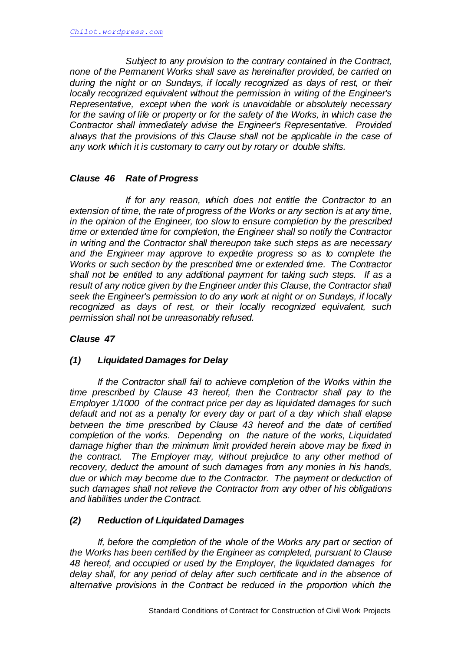*Subject to any provision to the contrary contained in the Contract, none of the Permanent Works shall save as hereinafter provided, be carried on during the night or on Sundays, if locally recognized as days of rest, or their locally recognized equivalent without the permission in writing of the Engineer's Representative, except when the work is unavoidable or absolutely necessary for the saving of life or property or for the safety of the Works, in which case the Contractor shall immediately advise the Engineer's Representative. Provided always that the provisions of this Clause shall not be applicable in the case of any work which it is customary to carry out by rotary or double shifts.*

#### *Clause 46 Rate of Progress*

*If for any reason, which does not entitle the Contractor to an extension of time, the rate of progress of the Works or any section is at any time, in the opinion of the Engineer, too slow to ensure completion by the prescribed time or extended time for completion, the Engineer shall so notify the Contractor in writing and the Contractor shall thereupon take such steps as are necessary and the Engineer may approve to expedite progress so as to complete the Works or such section by the prescribed time or extended time. The Contractor shall not be entitled to any additional payment for taking such steps. If as a result of any notice given by the Engineer under this Clause, the Contractor shall seek the Engineer's permission to do any work at night or on Sundays, if locally recognized as days of rest, or their locally recognized equivalent, such permission shall not be unreasonably refused.* 

### *Clause 47*

#### *(1) Liquidated Damages for Delay*

*If the Contractor shall fail to achieve completion of the Works within the time prescribed by Clause 43 hereof, then the Contractor shall pay to the Employer 1/1000 of the contract price per day as liquidated damages for such default and not as a penalty for every day or part of a day which shall elapse between the time prescribed by Clause 43 hereof and the date of certified completion of the works. Depending on the nature of the works, Liquidated damage higher than the minimum limit provided herein above may be fixed in the contract. The Employer may, without prejudice to any other method of recovery, deduct the amount of such damages from any monies in his hands, due or which may become due to the Contractor. The payment or deduction of such damages shall not relieve the Contractor from any other of his obligations and liabilities under the Contract.*

#### *(2) Reduction of Liquidated Damages*

If, before the completion of the whole of the Works any part or section of *the Works has been certified by the Engineer as completed, pursuant to Clause 48 hereof, and occupied or used by the Employer, the liquidated damages for delay shall, for any period of delay after such certificate and in the absence of alternative provisions in the Contract be reduced in the proportion which the*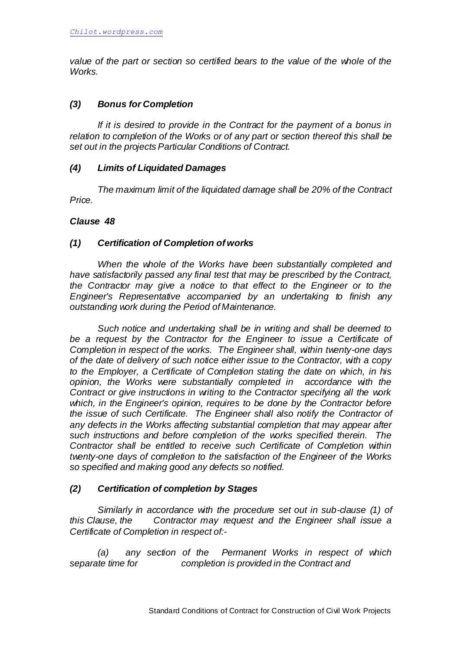*value of the part or section so certified bears to the value of the whole of the Works.*

#### *(3) Bonus for Completion*

*If it is desired to provide in the Contract for the payment of a bonus in relation to completion of the Works or of any part or section thereof this shall be set out in the projects Particular Conditions of Contract.*

#### *(4) Limits of Liquidated Damages*

*The maximum limit of the liquidated damage shall be 20% of the Contract Price.*

#### *Clause 48*

#### *(1) Certification of Completion of works*

*When the whole of the Works have been substantially completed and have satisfactorily passed any final test that may be prescribed by the Contract, the Contractor may give a notice to that effect to the Engineer or to the Engineer's Representative accompanied by an undertaking to finish any outstanding work during the Period of Maintenance.*

*Such notice and undertaking shall be in writing and shall be deemed to be a request by the Contractor for the Engineer to issue a Certificate of Completion in respect of the works. The Engineer shall, within twenty-one days of the date of delivery of such notice either issue to the Contractor, with a copy to the Employer, a Certificate of Completion stating the date on which, in his opinion, the Works were substantially completed in accordance with the Contract or give instructions in writing to the Contractor specifying all the work which, in the Engineer's opinion, requires to be done by the Contractor before the issue of such Certificate. The Engineer shall also notify the Contractor of any defects in the Works affecting substantial completion that may appear after such instructions and before completion of the works specified therein. The Contractor shall be entitled to receive such Certificate of Completion within twenty-one days of completion to the satisfaction of the Engineer of the Works so specified and making good any defects so notified.*

### *(2) Certification of completion by Stages*

*Similarly in accordance with the procedure set out in sub-clause (1) of this Clause, the Contractor may request and the Engineer shall issue a Certificate of Completion in respect of:-*

*(a) any section of the Permanent Works in respect of which separate time for completion is provided in the Contract and*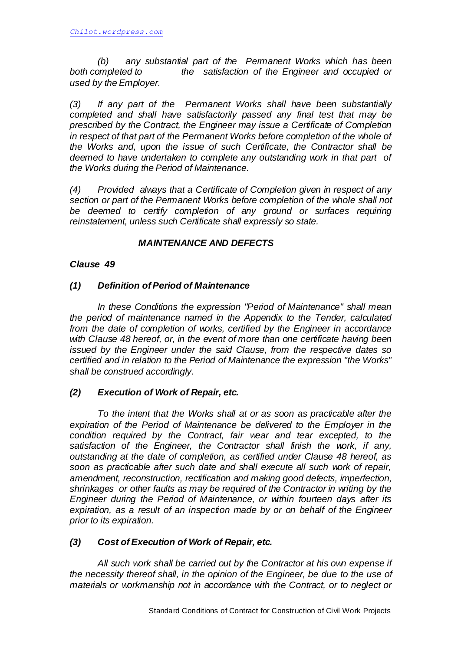*(b) any substantial part of the Permanent Works which has been both completed to the satisfaction of the Engineer and occupied or used by the Employer.*

*(3) If any part of the Permanent Works shall have been substantially completed and shall have satisfactorily passed any final test that may be prescribed by the Contract, the Engineer may issue a Certificate of Completion in respect of that part of the Permanent Works before completion of the whole of the Works and, upon the issue of such Certificate, the Contractor shall be deemed to have undertaken to complete any outstanding work in that part of the Works during the Period of Maintenance.* 

*(4) Provided always that a Certificate of Completion given in respect of any section or part of the Permanent Works before completion of the whole shall not*  be deemed to certify completion of any ground or surfaces requiring *reinstatement, unless such Certificate shall expressly so state.*

### *MAINTENANCE AND DEFECTS*

#### *Clause 49*

#### *(1) Definition of Period of Maintenance*

*In these Conditions the expression "Period of Maintenance" shall mean the period of maintenance named in the Appendix to the Tender, calculated from the date of completion of works, certified by the Engineer in accordance with Clause 48 hereof, or, in the event of more than one certificate having been issued by the Engineer under the said Clause, from the respective dates so certified and in relation to the Period of Maintenance the expression "the Works" shall be construed accordingly.*

### *(2) Execution of Work of Repair, etc.*

*To the intent that the Works shall at or as soon as practicable after the expiration of the Period of Maintenance be delivered to the Employer in the condition required by the Contract, fair wear and tear excepted, to the satisfaction of the Engineer, the Contractor shall finish the work, if any, outstanding at the date of completion, as certified under Clause 48 hereof, as soon as practicable after such date and shall execute all such work of repair, amendment, reconstruction, rectification and making good defects, imperfection, shrinkages or other faults as may be required of the Contractor in writing by the Engineer during the Period of Maintenance, or within fourteen days after its expiration, as a result of an inspection made by or on behalf of the Engineer prior to its expiration.*

### *(3) Cost of Execution of Work of Repair, etc.*

*All such work shall be carried out by the Contractor at his own expense if the necessity thereof shall, in the opinion of the Engineer, be due to the use of materials or workmanship not in accordance with the Contract, or to neglect or*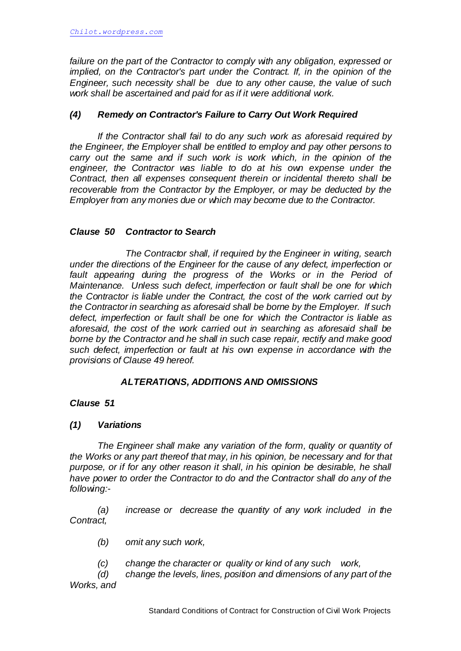*failure on the part of the Contractor to comply with any obligation, expressed or implied, on the Contractor's part under the Contract. If, in the opinion of the Engineer, such necessity shall be due to any other cause, the value of such work shall be ascertained and paid for as if it were additional work.*

## *(4) Remedy on Contractor's Failure to Carry Out Work Required*

*If the Contractor shall fail to do any such work as aforesaid required by the Engineer, the Employer shall be entitled to employ and pay other persons to carry out the same and if such work is work which, in the opinion of the engineer, the Contractor was liable to do at his own expense under the Contract, then all expenses consequent therein or incidental thereto shall be recoverable from the Contractor by the Employer, or may be deducted by the Employer from any monies due or which may become due to the Contractor.*

### *Clause 50 Contractor to Search*

*The Contractor shall, if required by the Engineer in writing, search under the directions of the Engineer for the cause of any defect, imperfection or*  fault appearing during the progress of the Works or in the Period of *Maintenance. Unless such defect, imperfection or fault shall be one for which the Contractor is liable under the Contract, the cost of the work carried out by the Contractor in searching as aforesaid shall be borne by the Employer. If such defect, imperfection or fault shall be one for which the Contractor is liable as aforesaid, the cost of the work carried out in searching as aforesaid shall be borne by the Contractor and he shall in such case repair, rectify and make good such defect, imperfection or fault at his own expense in accordance with the provisions of Clause 49 hereof.*

# *ALTERATIONS, ADDITIONS AND OMISSIONS*

### *Clause 51*

### *(1) Variations*

*The Engineer shall make any variation of the form, quality or quantity of the Works or any part thereof that may, in his opinion, be necessary and for that purpose, or if for any other reason it shall, in his opinion be desirable, he shall have power to order the Contractor to do and the Contractor shall do any of the following:-*

*(a) increase or decrease the quantity of any work included in the Contract,*

*(b) omit any such work,*

*(c) change the character or quality or kind of any such work,*

*(d) change the levels, lines, position and dimensions of any part of the Works, and*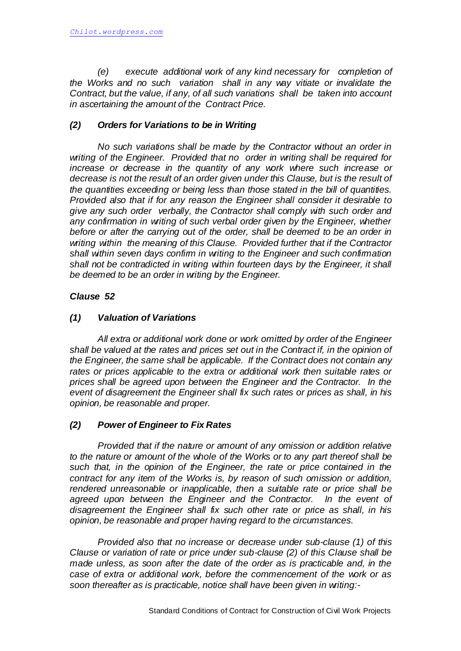*(e) execute additional work of any kind necessary for completion of the Works and no such variation shall in any way vitiate or invalidate the Contract, but the value, if any, of all such variations shall be taken into account in ascertaining the amount of the Contract Price.*

# *(2) Orders for Variations to be in Writing*

*No such variations shall be made by the Contractor without an order in writing of the Engineer. Provided that no order in writing shall be required for increase or decrease in the quantity of any work where such increase or decrease is not the result of an order given under this Clause, but is the result of the quantities exceeding or being less than those stated in the bill of quantities. Provided also that if for any reason the Engineer shall consider it desirable to give any such order verbally, the Contractor shall comply with such order and any confirmation in writing of such verbal order given by the Engineer, whether before or after the carrying out of the order, shall be deemed to be an order in writing within the meaning of this Clause. Provided further that if the Contractor shall within seven days confirm in writing to the Engineer and such confirmation shall not be contradicted in writing within fourteen days by the Engineer, it shall be deemed to be an order in writing by the Engineer.*

# *Clause 52*

# *(1) Valuation of Variations*

*All extra or additional work done or work omitted by order of the Engineer shall be valued at the rates and prices set out in the Contract if, in the opinion of the Engineer, the same shall be applicable. If the Contract does not contain any rates or prices applicable to the extra or additional work then suitable rates or prices shall be agreed upon between the Engineer and the Contractor. In the event of disagreement the Engineer shall fix such rates or prices as shall, in his opinion, be reasonable and proper.*

### *(2) Power of Engineer to Fix Rates*

*Provided that if the nature or amount of any omission or addition relative to the nature or amount of the whole of the Works or to any part thereof shall be such that, in the opinion of the Engineer, the rate or price contained in the contract for any item of the Works is, by reason of such omission or addition, rendered unreasonable or inapplicable, then a suitable rate or price shall be agreed upon between the Engineer and the Contractor. In the event of disagreement the Engineer shall fix such other rate or price as shall, in his opinion, be reasonable and proper having regard to the circumstances.*

*Provided also that no increase or decrease under sub-clause (1) of this Clause or variation of rate or price under sub-clause (2) of this Clause shall be made unless, as soon after the date of the order as is practicable and, in the case of extra or additional work, before the commencement of the work or as soon thereafter as is practicable, notice shall have been given in writing:-*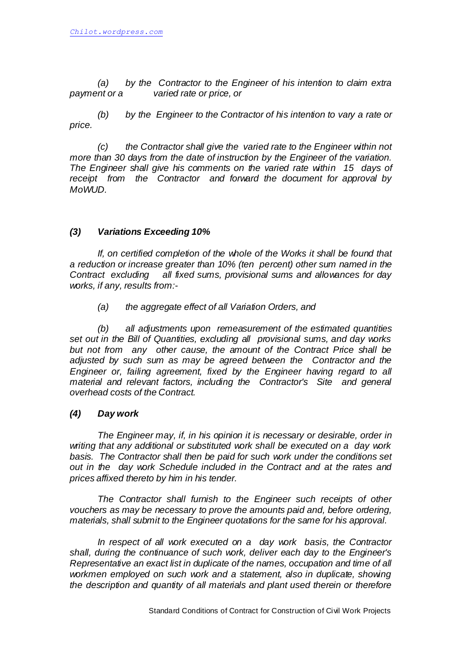*(a) by the Contractor to the Engineer of his intention to claim extra payment or a varied rate or price, or*

*(b) by the Engineer to the Contractor of his intention to vary a rate or price.*

*(c) the Contractor shall give the varied rate to the Engineer within not more than 30 days from the date of instruction by the Engineer of the variation. The Engineer shall give his comments on the varied rate within 15 days of receipt from the Contractor and forward the document for approval by MoWUD.*

### *(3) Variations Exceeding 10%*

*If, on certified completion of the whole of the Works it shall be found that a reduction or increase greater than 10% (ten percent) other sum named in the Contract excluding all fixed sums, provisional sums and allowances for day works, if any, results from:-*

*(a) the aggregate effect of all Variation Orders, and* 

*(b) all adjustments upon remeasurement of the estimated quantities set out in the Bill of Quantities, excluding all provisional sums, and day works but not from any other cause, the amount of the Contract Price shall be adjusted by such sum as may be agreed between the Contractor and the Engineer or, failing agreement, fixed by the Engineer having regard to all material and relevant factors, including the Contractor's Site and general overhead costs of the Contract.*

### *(4) Day work*

*The Engineer may, if, in his opinion it is necessary or desirable, order in writing that any additional or substituted work shall be executed on a day work basis. The Contractor shall then be paid for such work under the conditions set out in the day work Schedule included in the Contract and at the rates and prices affixed thereto by him in his tender.*

*The Contractor shall furnish to the Engineer such receipts of other vouchers as may be necessary to prove the amounts paid and, before ordering, materials, shall submit to the Engineer quotations for the same for his approval.*

*In respect of all work executed on a day work basis, the Contractor shall, during the continuance of such work, deliver each day to the Engineer's Representative an exact list in duplicate of the names, occupation and time of all workmen employed on such work and a statement, also in duplicate, showing the description and quantity of all materials and plant used therein or therefore*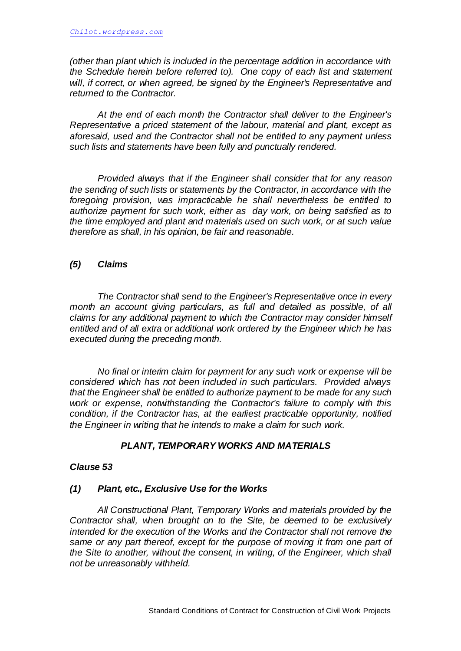*(other than plant which is included in the percentage addition in accordance with the Schedule herein before referred to). One copy of each list and statement*  will, if correct, or when agreed, be signed by the Engineer's Representative and *returned to the Contractor.*

*At the end of each month the Contractor shall deliver to the Engineer's Representative a priced statement of the labour, material and plant, except as aforesaid, used and the Contractor shall not be entitled to any payment unless such lists and statements have been fully and punctually rendered.*

*Provided always that if the Engineer shall consider that for any reason the sending of such lists or statements by the Contractor, in accordance with the foregoing provision, was impracticable he shall nevertheless be entitled to authorize payment for such work, either as day work, on being satisfied as to the time employed and plant and materials used on such work, or at such value therefore as shall, in his opinion, be fair and reasonable.*

#### *(5) Claims*

*The Contractor shall send to the Engineer's Representative once in every month an account giving particulars, as full and detailed as possible, of all claims for any additional payment to which the Contractor may consider himself entitled and of all extra or additional work ordered by the Engineer which he has executed during the preceding month.*

*No final or interim claim for payment for any such work or expense will be considered which has not been included in such particulars. Provided always that the Engineer shall be entitled to authorize payment to be made for any such work or expense, notwithstanding the Contractor's failure to comply with this condition, if the Contractor has, at the earliest practicable opportunity, notified the Engineer in writing that he intends to make a claim for such work.*

### *PLANT, TEMPORARY WORKS AND MATERIALS*

#### *Clause 53*

#### *(1) Plant, etc., Exclusive Use for the Works*

*All Constructional Plant, Temporary Works and materials provided by the Contractor shall, when brought on to the Site, be deemed to be exclusively intended for the execution of the Works and the Contractor shall not remove the*  same or any part thereof, except for the purpose of moving it from one part of *the Site to another, without the consent, in writing, of the Engineer, which shall not be unreasonably withheld.*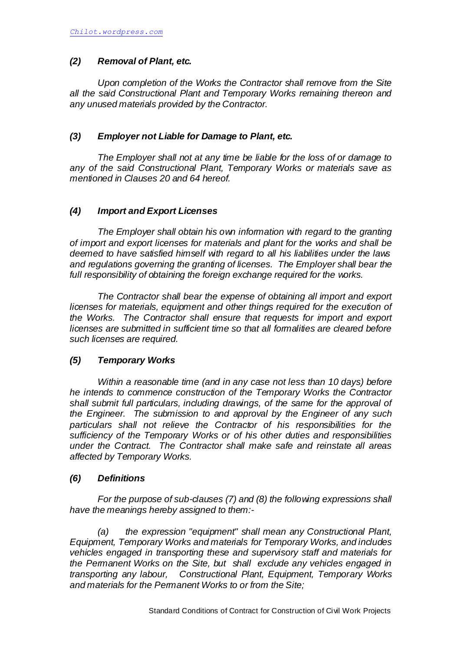# *(2) Removal of Plant, etc.*

*Upon completion of the Works the Contractor shall remove from the Site all the said Constructional Plant and Temporary Works remaining thereon and any unused materials provided by the Contractor.*

## *(3) Employer not Liable for Damage to Plant, etc.*

*The Employer shall not at any time be liable for the loss of or damage to any of the said Constructional Plant, Temporary Works or materials save as mentioned in Clauses 20 and 64 hereof.*

# *(4) Import and Export Licenses*

*The Employer shall obtain his own information with regard to the granting of import and export licenses for materials and plant for the works and shall be deemed to have satisfied himself with regard to all his liabilities under the laws and regulations governing the granting of licenses. The Employer shall bear the full responsibility of obtaining the foreign exchange required for the works.*

*The Contractor shall bear the expense of obtaining all import and export licenses for materials, equipment and other things required for the execution of the Works. The Contractor shall ensure that requests for import and export licenses are submitted in sufficient time so that all formalities are cleared before such licenses are required.*

### *(5) Temporary Works*

*Within a reasonable time (and in any case not less than 10 days) before he intends to commence construction of the Temporary Works the Contractor shall submit full particulars, including drawings, of the same for the approval of the Engineer. The submission to and approval by the Engineer of any such particulars shall not relieve the Contractor of his responsibilities for the sufficiency of the Temporary Works or of his other duties and responsibilities under the Contract. The Contractor shall make safe and reinstate all areas affected by Temporary Works.*

### *(6) Definitions*

*For the purpose of sub-clauses (7) and (8) the following expressions shall have the meanings hereby assigned to them:-*

*(a) the expression "equipment" shall mean any Constructional Plant, Equipment, Temporary Works and materials for Temporary Works, and includes vehicles engaged in transporting these and supervisory staff and materials for the Permanent Works on the Site, but shall exclude any vehicles engaged in transporting any labour, Constructional Plant, Equipment, Temporary Works and materials for the Permanent Works to or from the Site;*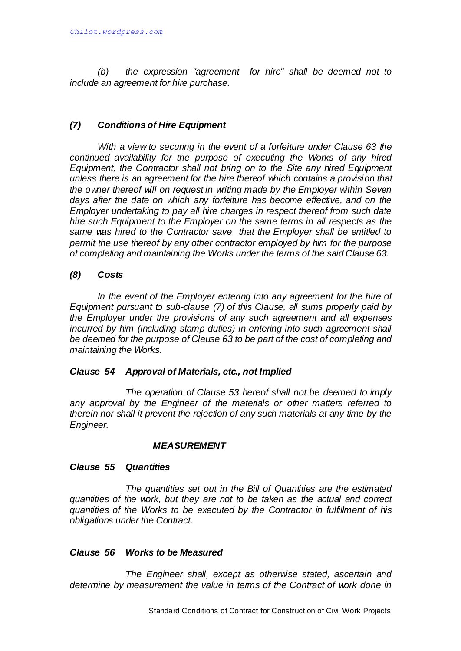*(b) the expression "agreement for hire" shall be deemed not to include an agreement for hire purchase.*

# *(7) Conditions of Hire Equipment*

*With a view to securing in the event of a forfeiture under Clause 63 the continued availability for the purpose of executing the Works of any hired Equipment, the Contractor shall not bring on to the Site any hired Equipment unless there is an agreement for the hire thereof which contains a provision that the owner thereof will on request in writing made by the Employer within Seven days after the date on which any forfeiture has become effective, and on the Employer undertaking to pay all hire charges in respect thereof from such date hire such Equipment to the Employer on the same terms in all respects as the same was hired to the Contractor save that the Employer shall be entitled to permit the use thereof by any other contractor employed by him for the purpose of completing and maintaining the Works under the terms of the said Clause 63.*

# *(8) Costs*

In the event of the Employer entering into any agreement for the hire of *Equipment pursuant to sub-clause (7) of this Clause, all sums properly paid by the Employer under the provisions of any such agreement and all expenses incurred by him (including stamp duties) in entering into such agreement shall be deemed for the purpose of Clause 63 to be part of the cost of completing and maintaining the Works.*

### *Clause 54 Approval of Materials, etc., not Implied*

*The operation of Clause 53 hereof shall not be deemed to imply any approval by the Engineer of the materials or other matters referred to therein nor shall it prevent the rejection of any such materials at any time by the Engineer.*

### *MEASUREMENT*

### *Clause 55 Quantities*

*The quantities set out in the Bill of Quantities are the estimated quantities of the work, but they are not to be taken as the actual and correct quantities of the Works to be executed by the Contractor in fulfillment of his obligations under the Contract.* 

### *Clause 56 Works to be Measured*

*The Engineer shall, except as otherwise stated, ascertain and determine by measurement the value in terms of the Contract of work done in*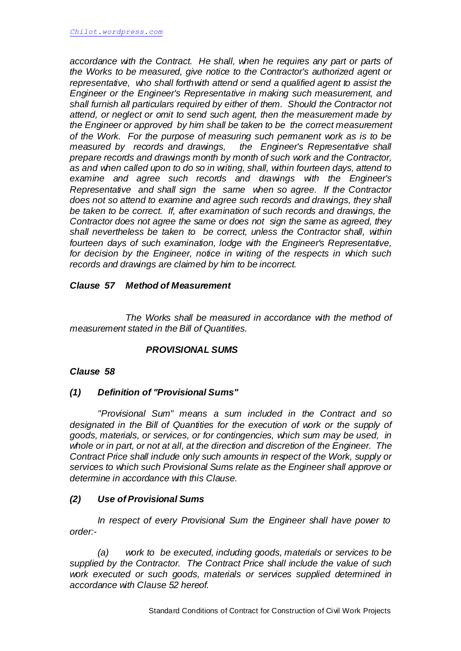*accordance with the Contract. He shall, when he requires any part or parts of the Works to be measured, give notice to the Contractor's authorized agent or representative, who shall forthwith attend or send a qualified agent to assist the Engineer or the Engineer's Representative in making such measurement, and shall furnish all particulars required by either of them. Should the Contractor not attend, or neglect or omit to send such agent, then the measurement made by the Engineer or approved by him shall be taken to be the correct measurement of the Work. For the purpose of measuring such permanent work as is to be measured by records and drawings, the Engineer's Representative shall prepare records and drawings month by month of such work and the Contractor, as and when called upon to do so in writing, shall, within fourteen days, attend to examine and agree such records and drawings with the Engineer's Representative and shall sign the same when so agree. If the Contractor does not so attend to examine and agree such records and drawings, they shall be taken to be correct. If, after examination of such records and drawings, the Contractor does not agree the same or does not sign the same as agreed, they shall nevertheless be taken to be correct, unless the Contractor shall, within fourteen days of such examination, lodge with the Engineer's Representative,*  for decision by the Engineer, notice in writing of the respects in which such *records and drawings are claimed by him to be incorrect.*

#### *Clause 57 Method of Measurement*

*The Works shall be measured in accordance with the method of measurement stated in the Bill of Quantities.*

### *PROVISIONAL SUMS*

#### *Clause 58*

### *(1) Definition of "Provisional Sums"*

*"Provisional Sum" means a sum included in the Contract and so designated in the Bill of Quantities for the execution of work or the supply of goods, materials, or services, or for contingencies, which sum may be used, in whole or in part, or not at all, at the direction and discretion of the Engineer. The Contract Price shall include only such amounts in respect of the Work, supply or services to which such Provisional Sums relate as the Engineer shall approve or determine in accordance with this Clause.*

### *(2) Use of Provisional Sums*

*In respect of every Provisional Sum the Engineer shall have power to order:-*

*(a) work to be executed, including goods, materials or services to be supplied by the Contractor. The Contract Price shall include the value of such work executed or such goods, materials or services supplied determined in accordance with Clause 52 hereof.*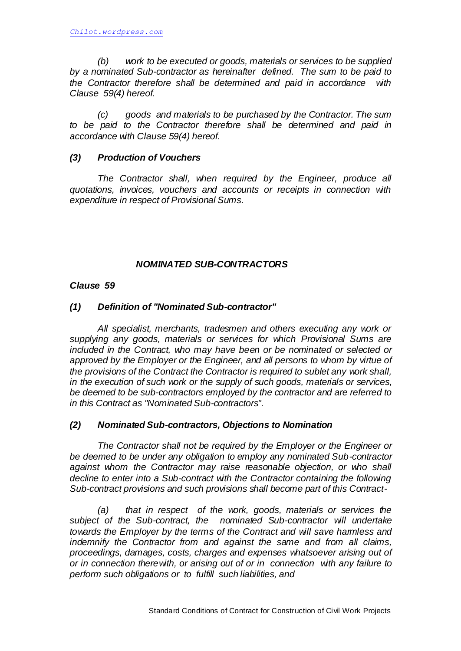*(b) work to be executed or goods, materials or services to be supplied by a nominated Sub-contractor as hereinafter defined. The sum to be paid to the Contractor therefore shall be determined and paid in accordance with Clause 59(4) hereof.*

*(c) goods and materials to be purchased by the Contractor. The sum to be paid to the Contractor therefore shall be determined and paid in accordance with Clause 59(4) hereof.*

### *(3) Production of Vouchers*

*The Contractor shall, when required by the Engineer, produce all quotations, invoices, vouchers and accounts or receipts in connection with expenditure in respect of Provisional Sums.*

# *NOMINATED SUB-CONTRACTORS*

### *Clause 59*

### *(1) Definition of "Nominated Sub-contractor"*

*All specialist, merchants, tradesmen and others executing any work or supplying any goods, materials or services for which Provisional Sums are included in the Contract, who may have been or be nominated or selected or approved by the Employer or the Engineer, and all persons to whom by virtue of the provisions of the Contract the Contractor is required to sublet any work shall, in the execution of such work or the supply of such goods, materials or services, be deemed to be sub-contractors employed by the contractor and are referred to in this Contract as "Nominated Sub-contractors".*

### *(2) Nominated Sub-contractors, Objections to Nomination*

*The Contractor shall not be required by the Employer or the Engineer or be deemed to be under any obligation to employ any nominated Sub-contractor against whom the Contractor may raise reasonable objection, or who shall decline to enter into a Sub-contract with the Contractor containing the following Sub-contract provisions and such provisions shall become part of this Contract-*

*(a) that in respect of the work, goods, materials or services the subject of the Sub-contract, the nominated Sub-contractor will undertake towards the Employer by the terms of the Contract and will save harmless and indemnify the Contractor from and against the same and from all claims, proceedings, damages, costs, charges and expenses whatsoever arising out of or in connection therewith, or arising out of or in connection with any failure to perform such obligations or to fulfill such liabilities, and*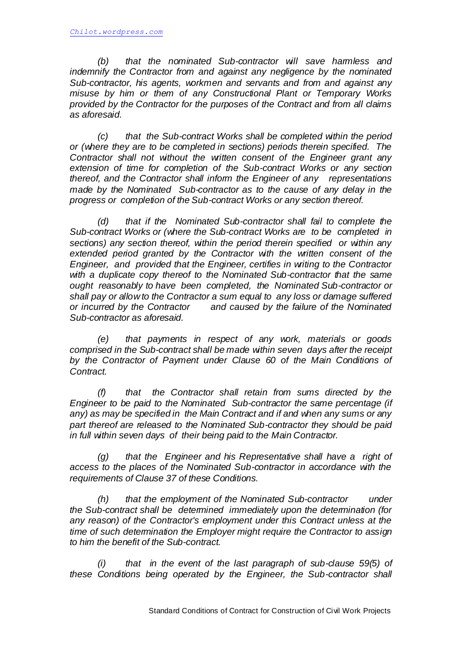*(b) that the nominated Sub-contractor will save harmless and indemnify the Contractor from and against any negligence by the nominated Sub-contractor, his agents, workmen and servants and from and against any misuse by him or them of any Constructional Plant or Temporary Works provided by the Contractor for the purposes of the Contract and from all claims as aforesaid.*

*(c) that the Sub-contract Works shall be completed within the period or (where they are to be completed in sections) periods therein specified. The Contractor shall not without the written consent of the Engineer grant any extension of time for completion of the Sub-contract Works or any section thereof, and the Contractor shall inform the Engineer of any representations made by the Nominated Sub-contractor as to the cause of any delay in the progress or completion of the Sub-contract Works or any section thereof.*

*(d) that if the Nominated Sub-contractor shall fail to complete the Sub-contract Works or (where the Sub-contract Works are to be completed in sections) any section thereof, within the period therein specified or within any extended period granted by the Contractor with the written consent of the Engineer, and provided that the Engineer, certifies in writing to the Contractor with a duplicate copy thereof to the Nominated Sub-contractor that the same ought reasonably to have been completed, the Nominated Sub-contractor or shall pay or allow to the Contractor a sum equal to any loss or damage suffered or incurred by the Contractor and caused by the failure of the Nominated Sub-contractor as aforesaid.*

*(e) that payments in respect of any work, materials or goods comprised in the Sub-contract shall be made within seven days after the receipt by the Contractor of Payment under Clause 60 of the Main Conditions of Contract.*

*(f) that the Contractor shall retain from sums directed by the Engineer to be paid to the Nominated Sub-contractor the same percentage (if any) as may be specified in the Main Contract and if and when any sums or any part thereof are released to the Nominated Sub-contractor they should be paid in full within seven days of their being paid to the Main Contractor.*

*(g) that the Engineer and his Representative shall have a right of access to the places of the Nominated Sub-contractor in accordance with the requirements of Clause 37 of these Conditions.*

*(h) that the employment of the Nominated Sub-contractor under the Sub-contract shall be determined immediately upon the determination (for any reason) of the Contractor's employment under this Contract unless at the time of such determination the Employer might require the Contractor to assign to him the benefit of the Sub-contract.*

*(i) that in the event of the last paragraph of sub-clause 59(5) of these Conditions being operated by the Engineer, the Sub-contractor shall*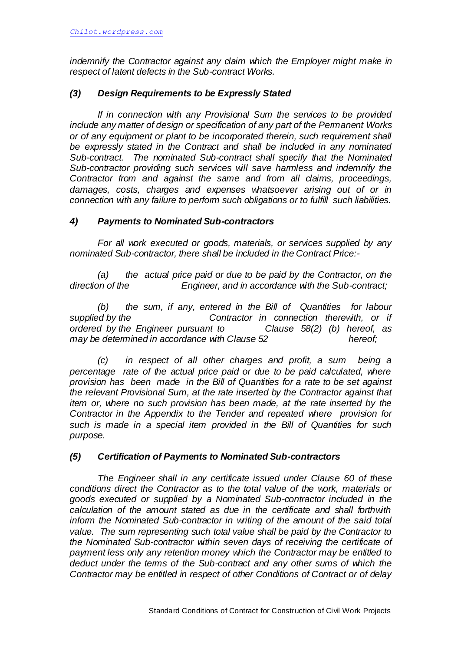*indemnify the Contractor against any claim which the Employer might make in respect of latent defects in the Sub-contract Works.*

# *(3) Design Requirements to be Expressly Stated*

*If in connection with any Provisional Sum the services to be provided include any matter of design or specification of any part of the Permanent Works or of any equipment or plant to be incorporated therein, such requirement shall be expressly stated in the Contract and shall be included in any nominated Sub-contract. The nominated Sub-contract shall specify that the Nominated Sub-contractor providing such services will save harmless and indemnify the Contractor from and against the same and from all claims, proceedings, damages, costs, charges and expenses whatsoever arising out of or in connection with any failure to perform such obligations or to fulfill such liabilities.*

### *4) Payments to Nominated Sub-contractors*

*For all work executed or goods, materials, or services supplied by any nominated Sub-contractor, there shall be included in the Contract Price:-*

*(a) the actual price paid or due to be paid by the Contractor, on the direction of the Engineer, and in accordance with the Sub-contract;*

*(b) the sum, if any, entered in the Bill of Quantities for labour supplied by the Contractor in connection therewith, or if ordered by the Engineer pursuant to Clause 58(2) (b) hereof, as may be determined in accordance with Clause 52 hereof;*

*(c) in respect of all other charges and profit, a sum being a percentage rate of the actual price paid or due to be paid calculated, where provision has been made in the Bill of Quantities for a rate to be set against the relevant Provisional Sum, at the rate inserted by the Contractor against that item or, where no such provision has been made, at the rate inserted by the Contractor in the Appendix to the Tender and repeated where provision for such is made in a special item provided in the Bill of Quantities for such purpose.*

### *(5) Certification of Payments to Nominated Sub-contractors*

*The Engineer shall in any certificate issued under Clause 60 of these conditions direct the Contractor as to the total value of the work, materials or goods executed or supplied by a Nominated Sub-contractor included in the calculation of the amount stated as due in the certificate and shall forthwith*  inform the Nominated Sub-contractor in writing of the amount of the said total *value. The sum representing such total value shall be paid by the Contractor to the Nominated Sub-contractor within seven days of receiving the certificate of payment less only any retention money which the Contractor may be entitled to deduct under the terms of the Sub-contract and any other sums of which the Contractor may be entitled in respect of other Conditions of Contract or of delay*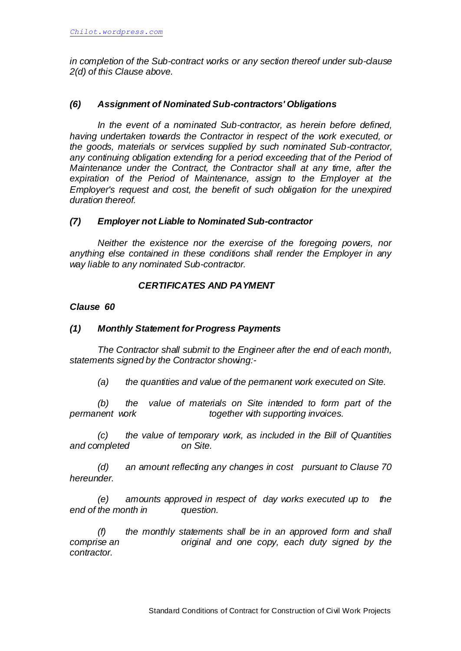*in completion of the Sub-contract works or any section thereof under sub-clause 2(d) of this Clause above.*

#### *(6) Assignment of Nominated Sub-contractors' Obligations*

*In the event of a nominated Sub-contractor, as herein before defined, having undertaken towards the Contractor in respect of the work executed, or the goods, materials or services supplied by such nominated Sub-contractor, any continuing obligation extending for a period exceeding that of the Period of Maintenance under the Contract, the Contractor shall at any time, after the expiration of the Period of Maintenance, assign to the Employer at the Employer's request and cost, the benefit of such obligation for the unexpired duration thereof.*

#### *(7) Employer not Liable to Nominated Sub-contractor*

*Neither the existence nor the exercise of the foregoing powers, nor anything else contained in these conditions shall render the Employer in any way liable to any nominated Sub-contractor.* 

#### *CERTIFICATES AND PAYMENT*

#### *Clause 60*

#### *(1) Monthly Statement for Progress Payments*

*The Contractor shall submit to the Engineer after the end of each month, statements signed by the Contractor showing:-*

*(a) the quantities and value of the permanent work executed on Site.*

*(b) the value of materials on Site intended to form part of the permanent work together with supporting invoices.*

*(c) the value of temporary work, as included in the Bill of Quantities and completed on Site.*

*(d) an amount reflecting any changes in cost pursuant to Clause 70 hereunder.*

*(e) amounts approved in respect of day works executed up to the end of the month in question.*

*(f) the monthly statements shall be in an approved form and shall comprise an original and one copy, each duty signed by the contractor.*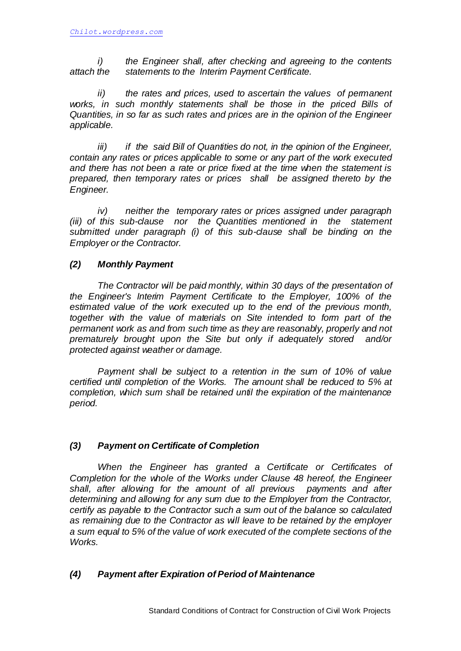*i) the Engineer shall, after checking and agreeing to the contents attach the statements to the Interim Payment Certificate.*

 *ii) the rates and prices, used to ascertain the values of permanent works, in such monthly statements shall be those in the priced Bills of Quantities, in so far as such rates and prices are in the opinion of the Engineer applicable.*

 *iii) if the said Bill of Quantities do not, in the opinion of the Engineer, contain any rates or prices applicable to some or any part of the work executed and there has not been a rate or price fixed at the time when the statement is prepared, then temporary rates or prices shall be assigned thereto by the Engineer.*

 *iv) neither the temporary rates or prices assigned under paragraph (iii) of this sub-clause nor the Quantities mentioned in the statement submitted under paragraph (i) of this sub-clause shall be binding on the Employer or the Contractor.*

### *(2) Monthly Payment*

*The Contractor will be paid monthly, within 30 days of the presentation of the Engineer's Interim Payment Certificate to the Employer, 100% of the estimated value of the work executed up to the end of the previous month, together with the value of materials on Site intended to form part of the permanent work as and from such time as they are reasonably, properly and not prematurely brought upon the Site but only if adequately stored and/or protected against weather or damage.*

*Payment shall be subject to a retention in the sum of 10% of value certified until completion of the Works. The amount shall be reduced to 5% at completion, which sum shall be retained until the expiration of the maintenance period.*

# *(3) Payment on Certificate of Completion*

*When the Engineer has granted a Certificate or Certificates of Completion for the whole of the Works under Clause 48 hereof, the Engineer shall, after allowing for the amount of all previous payments and after determining and allowing for any sum due to the Employer from the Contractor, certify as payable to the Contractor such a sum out of the balance so calculated as remaining due to the Contractor as will leave to be retained by the employer a sum equal to 5% of the value of work executed of the complete sections of the Works.*

### *(4) Payment after Expiration of Period of Maintenance*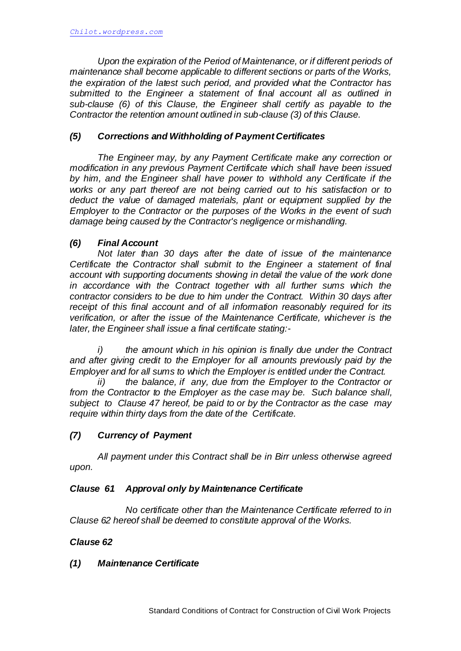*Upon the expiration of the Period of Maintenance, or if different periods of maintenance shall become applicable to different sections or parts of the Works, the expiration of the latest such period, and provided what the Contractor has submitted to the Engineer a statement of final account all as outlined in sub-clause (6) of this Clause, the Engineer shall certify as payable to the Contractor the retention amount outlined in sub-clause (3) of this Clause.*

# *(5) Corrections and Withholding of Payment Certificates*

*The Engineer may, by any Payment Certificate make any correction or modification in any previous Payment Certificate which shall have been issued by him, and the Engineer shall have power to withhold any Certificate if the works or any part thereof are not being carried out to his satisfaction or to deduct the value of damaged materials, plant or equipment supplied by the Employer to the Contractor or the purposes of the Works in the event of such damage being caused by the Contractor's negligence or mishandling.*

# *(6) Final Account*

*Not later than 30 days after the date of issue of the maintenance Certificate the Contractor shall submit to the Engineer a statement of final account with supporting documents showing in detail the value of the work done*  in accordance with the Contract together with all further sums which the *contractor considers to be due to him under the Contract. Within 30 days after receipt of this final account and of all information reasonably required for its verification, or after the issue of the Maintenance Certificate, whichever is the later, the Engineer shall issue a final certificate stating:-*

*i) the amount which in his opinion is finally due under the Contract and after giving credit to the Employer for all amounts previously paid by the Employer and for all sums to which the Employer is entitled under the Contract.*

*ii) the balance, if any, due from the Employer to the Contractor or from the Contractor to the Employer as the case may be. Such balance shall, subject to Clause 47 hereof, be paid to or by the Contractor as the case may require within thirty days from the date of the Certificate.*

# *(7) Currency of Payment*

*All payment under this Contract shall be in Birr unless otherwise agreed upon.* 

### *Clause 61 Approval only by Maintenance Certificate*

*No certificate other than the Maintenance Certificate referred to in Clause 62 hereof shall be deemed to constitute approval of the Works.*

### *Clause 62*

### *(1) Maintenance Certificate*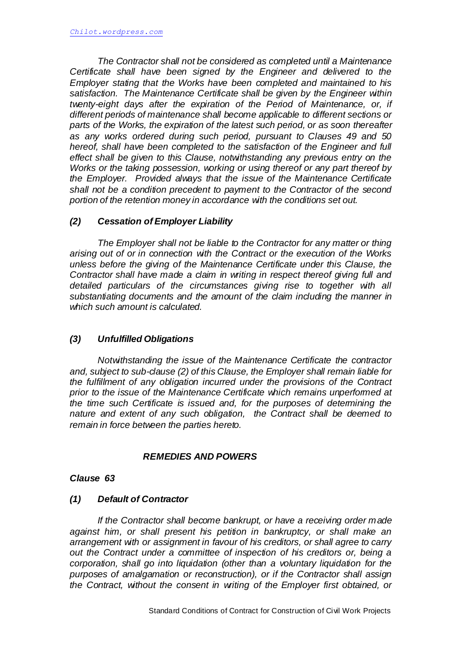*The Contractor shall not be considered as completed until a Maintenance Certificate shall have been signed by the Engineer and delivered to the Employer stating that the Works have been completed and maintained to his satisfaction. The Maintenance Certificate shall be given by the Engineer within twenty-eight days after the expiration of the Period of Maintenance, or, if different periods of maintenance shall become applicable to different sections or parts of the Works, the expiration of the latest such period, or as soon thereafter as any works ordered during such period, pursuant to Clauses 49 and 50 hereof, shall have been completed to the satisfaction of the Engineer and full effect shall be given to this Clause, notwithstanding any previous entry on the Works or the taking possession, working or using thereof or any part thereof by the Employer. Provided always that the issue of the Maintenance Certificate shall not be a condition precedent to payment to the Contractor of the second portion of the retention money in accordance with the conditions set out.*

#### *(2) Cessation of Employer Liability*

*The Employer shall not be liable to the Contractor for any matter or thing arising out of or in connection with the Contract or the execution of the Works unless before the giving of the Maintenance Certificate under this Clause, the Contractor shall have made a claim in writing in respect thereof giving full and detailed particulars of the circumstances giving rise to together with all substantiating documents and the amount of the claim including the manner in which such amount is calculated.*

### *(3) Unfulfilled Obligations*

*Notwithstanding the issue of the Maintenance Certificate the contractor and, subject to sub-clause (2) of this Clause, the Employer shall remain liable for the fulfillment of any obligation incurred under the provisions of the Contract prior to the issue of the Maintenance Certificate which remains unperformed at the time such Certificate is issued and, for the purposes of determining the nature and extent of any such obligation, the Contract shall be deemed to remain in force between the parties hereto.*

#### *REMEDIES AND POWERS*

#### *Clause 63*

#### *(1) Default of Contractor*

*If the Contractor shall become bankrupt, or have a receiving order made against him, or shall present his petition in bankruptcy, or shall make an arrangement with or assignment in favour of his creditors, or shall agree to carry out the Contract under a committee of inspection of his creditors or, being a corporation, shall go into liquidation (other than a voluntary liquidation for the purposes of amalgamation or reconstruction), or if the Contractor shall assign the Contract, without the consent in writing of the Employer first obtained, or*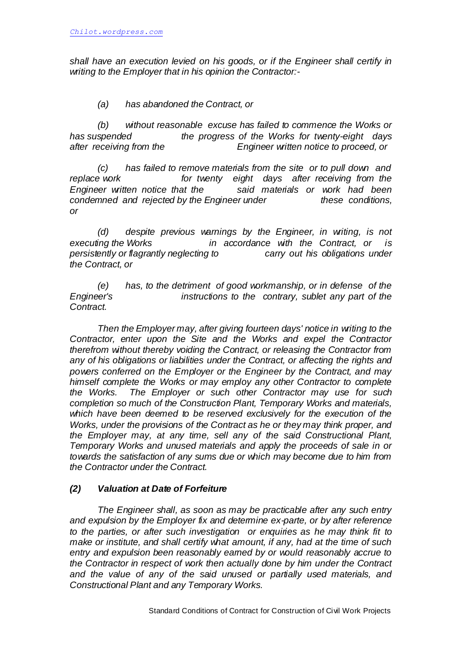*shall have an execution levied on his goods, or if the Engineer shall certify in writing to the Employer that in his opinion the Contractor:-*

*(a) has abandoned the Contract, or*

*(b) without reasonable excuse has failed to commence the Works or has suspended the progress of the Works for twenty-eight days after receiving from the Engineer written notice to proceed, or*

*(c) has failed to remove materials from the site or to pull down and replace work for twenty eight days after receiving from the Engineer written notice that the said materials or work had been condemned and rejected by the Engineer under* these conditions, *or* 

*(d) despite previous warnings by the Engineer, in writing, is not executing the Works in accordance with the Contract, or is persistently or flagrantly neglecting to carry out his obligations under the Contract, or*

*(e) has, to the detriment of good workmanship, or in defense of the Engineer's instructions to the contrary, sublet any part of the Contract.* 

*Then the Employer may, after giving fourteen days' notice in writing to the Contractor, enter upon the Site and the Works and expel the Contractor therefrom without thereby voiding the Contract, or releasing the Contractor from any of his obligations or liabilities under the Contract, or affecting the rights and powers conferred on the Employer or the Engineer by the Contract, and may himself complete the Works or may employ any other Contractor to complete the Works. The Employer or such other Contractor may use for such completion so much of the Construction Plant, Temporary Works and materials,*  which have been deemed to be reserved exclusively for the execution of the *Works, under the provisions of the Contract as he or they may think proper, and the Employer may, at any time, sell any of the said Constructional Plant, Temporary Works and unused materials and apply the proceeds of sale in or towards the satisfaction of any sums due or which may become due to him from the Contractor under the Contract.*

# *(2) Valuation at Date of Forfeiture*

*The Engineer shall, as soon as may be practicable after any such entry and expulsion by the Employer fix and determine ex-parte, or by after reference to the parties, or after such investigation or enquiries as he may think fit to make or institute, and shall certify what amount, if any, had at the time of such entry and expulsion been reasonably earned by or would reasonably accrue to the Contractor in respect of work then actually done by him under the Contract and the value of any of the said unused or partially used materials, and Constructional Plant and any Temporary Works.*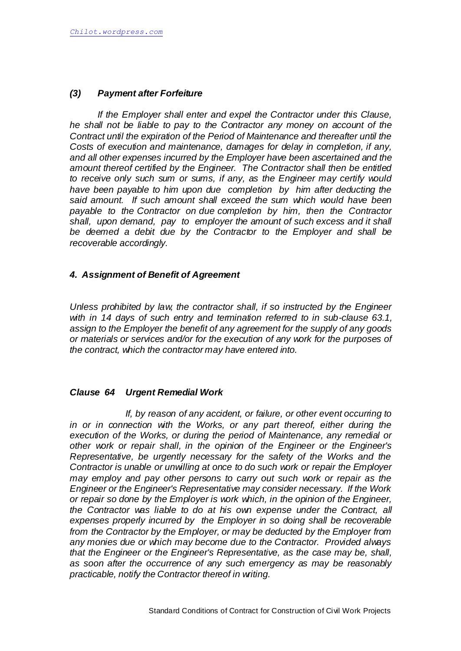#### *(3) Payment after Forfeiture*

*If the Employer shall enter and expel the Contractor under this Clause, he shall not be liable to pay to the Contractor any money on account of the Contract until the expiration of the Period of Maintenance and thereafter until the Costs of execution and maintenance, damages for delay in completion, if any, and all other expenses incurred by the Employer have been ascertained and the amount thereof certified by the Engineer. The Contractor shall then be entitled to receive only such sum or sums, if any, as the Engineer may certify would have been payable to him upon due completion by him after deducting the said amount. If such amount shall exceed the sum which would have been payable to the Contractor on due completion by him, then the Contractor shall, upon demand, pay to employer the amount of such excess and it shall be deemed a debit due by the Contractor to the Employer and shall be recoverable accordingly.* 

#### *4. Assignment of Benefit of Agreement*

*Unless prohibited by law, the contractor shall, if so instructed by the Engineer with in 14 days of such entry and termination referred to in sub-clause 63.1, assign to the Employer the benefit of any agreement for the supply of any goods or materials or services and/or for the execution of any work for the purposes of the contract, which the contractor may have entered into.*

#### *Clause 64 Urgent Remedial Work*

*If, by reason of any accident, or failure, or other event occurring to in or in connection with the Works, or any part thereof, either during the execution of the Works, or during the period of Maintenance, any remedial or other work or repair shall, in the opinion of the Engineer or the Engineer's Representative, be urgently necessary for the safety of the Works and the Contractor is unable or unwilling at once to do such work or repair the Employer may employ and pay other persons to carry out such work or repair as the Engineer or the Engineer's Representative may consider necessary. If the Work or repair so done by the Employer is work which, in the opinion of the Engineer, the Contractor was liable to do at his own expense under the Contract, all expenses properly incurred by the Employer in so doing shall be recoverable from the Contractor by the Employer, or may be deducted by the Employer from any monies due or which may become due to the Contractor. Provided always that the Engineer or the Engineer's Representative, as the case may be, shall, as soon after the occurrence of any such emergency as may be reasonably practicable, notify the Contractor thereof in writing.*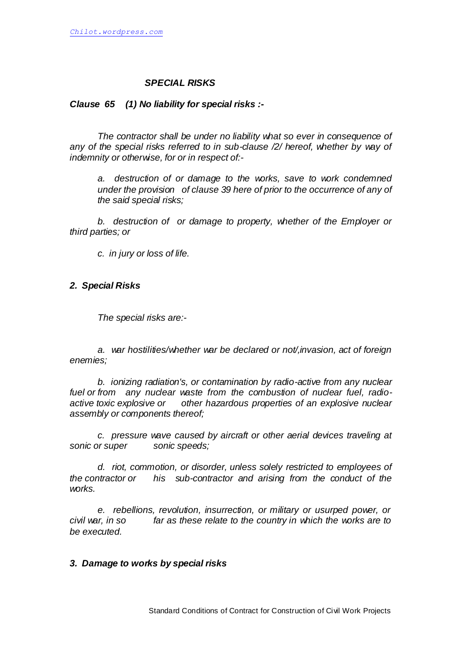### *SPECIAL RISKS*

#### *Clause 65 (1) No liability for special risks :-*

*The contractor shall be under no liability what so ever in consequence of any of the special risks referred to in sub-clause /2/ hereof, whether by way of indemnity or otherwise, for or in respect of:-*

*a. destruction of or damage to the works, save to work condemned under the provision of clause 39 here of prior to the occurrence of any of the said special risks;*

*b. destruction of or damage to property, whether of the Employer or third parties; or*

*c. in jury or loss of life.*

#### *2. Special Risks*

*The special risks are:-*

*a. war hostilities/whether war be declared or not/,invasion, act of foreign enemies;*

*b. ionizing radiation's, or contamination by radio-active from any nuclear fuel or from any nuclear waste from the combustion of nuclear fuel, radioactive toxic explosive or other hazardous properties of an explosive nuclear assembly or components thereof;*

*c. pressure wave caused by aircraft or other aerial devices traveling at sonic or super sonic speeds;*

*d. riot, commotion, or disorder, unless solely restricted to employees of the contractor or his sub-contractor and arising from the conduct of the works.*

*e. rebellions, revolution, insurrection, or military or usurped power, or civil war, in so far as these relate to the country in which the works are to be executed.* 

#### *3. Damage to works by special risks*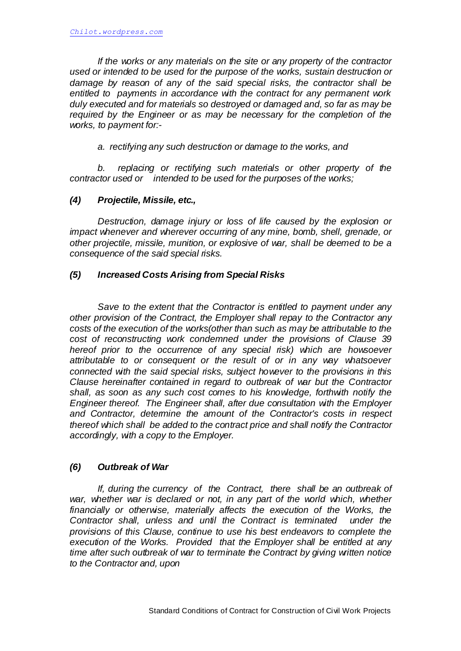*If the works or any materials on the site or any property of the contractor used or intended to be used for the purpose of the works, sustain destruction or damage by reason of any of the said special risks, the contractor shall be entitled to payments in accordance with the contract for any permanent work duly executed and for materials so destroyed or damaged and, so far as may be required by the Engineer or as may be necessary for the completion of the works, to payment for:-*

*a. rectifying any such destruction or damage to the works, and*

*b. replacing or rectifying such materials or other property of the contractor used or intended to be used for the purposes of the works;* 

#### *(4) Projectile, Missile, etc.,*

*Destruction, damage injury or loss of life caused by the explosion or impact whenever and wherever occurring of any mine, bomb, shell, grenade, or other projectile, missile, munition, or explosive of war, shall be deemed to be a consequence of the said special risks.*

#### *(5) Increased Costs Arising from Special Risks*

*Save to the extent that the Contractor is entitled to payment under any other provision of the Contract, the Employer shall repay to the Contractor any costs of the execution of the works(other than such as may be attributable to the cost of reconstructing work condemned under the provisions of Clause 39 hereof prior to the occurrence of any special risk) which are howsoever attributable to or consequent or the result of or in any way whatsoever connected with the said special risks, subject however to the provisions in this Clause hereinafter contained in regard to outbreak of war but the Contractor shall, as soon as any such cost comes to his knowledge, forthwith notify the Engineer thereof. The Engineer shall, after due consultation with the Employer and Contractor, determine the amount of the Contractor's costs in respect thereof which shall be added to the contract price and shall notify the Contractor accordingly, with a copy to the Employer.*

#### *(6) Outbreak of War*

*If, during the currency of the Contract, there shall be an outbreak of*  war, whether war is declared or not, in any part of the world which, whether *financially or otherwise, materially affects the execution of the Works, the Contractor shall, unless and until the Contract is terminated under the provisions of this Clause, continue to use his best endeavors to complete the execution of the Works. Provided that the Employer shall be entitled at any time after such outbreak of war to terminate the Contract by giving written notice to the Contractor and, upon*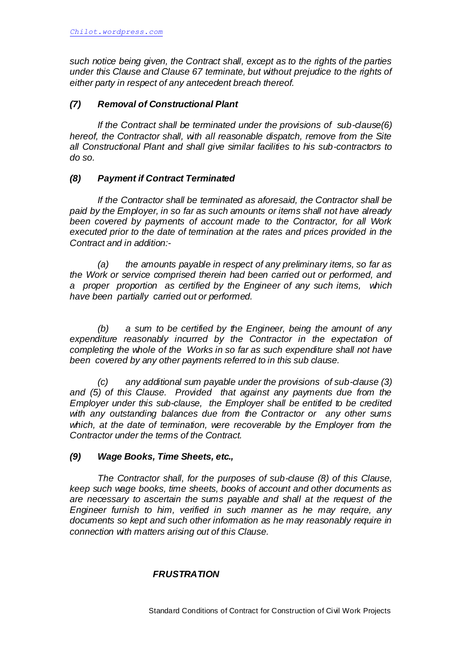*such notice being given, the Contract shall, except as to the rights of the parties under this Clause and Clause 67 terminate, but without prejudice to the rights of either party in respect of any antecedent breach thereof.*

# *(7) Removal of Constructional Plant*

*If the Contract shall be terminated under the provisions of sub-clause(6) hereof, the Contractor shall, with all reasonable dispatch, remove from the Site all Constructional Plant and shall give similar facilities to his sub-contractors to do so.*

# *(8) Payment if Contract Terminated*

*If the Contractor shall be terminated as aforesaid, the Contractor shall be paid by the Employer, in so far as such amounts or items shall not have already been covered by payments of account made to the Contractor, for all Work executed prior to the date of termination at the rates and prices provided in the Contract and in addition:-*

*(a) the amounts payable in respect of any preliminary items, so far as the Work or service comprised therein had been carried out or performed, and a proper proportion as certified by the Engineer of any such items, which have been partially carried out or performed.*

*(b) a sum to be certified by the Engineer, being the amount of any expenditure reasonably incurred by the Contractor in the expectation of completing the whole of the Works in so far as such expenditure shall not have been covered by any other payments referred to in this sub clause.*

*(c) any additional sum payable under the provisions of sub-clause (3) and (5) of this Clause. Provided that against any payments due from the Employer under this sub-clause, the Employer shall be entitled to be credited with any outstanding balances due from the Contractor or any other sums*  which, at the date of termination, were recoverable by the Employer from the *Contractor under the terms of the Contract.*

### *(9) Wage Books, Time Sheets, etc.,*

*The Contractor shall, for the purposes of sub-clause (8) of this Clause, keep such wage books, time sheets, books of account and other documents as are necessary to ascertain the sums payable and shall at the request of the Engineer furnish to him, verified in such manner as he may require, any documents so kept and such other information as he may reasonably require in connection with matters arising out of this Clause.*

### *FRUSTRATION*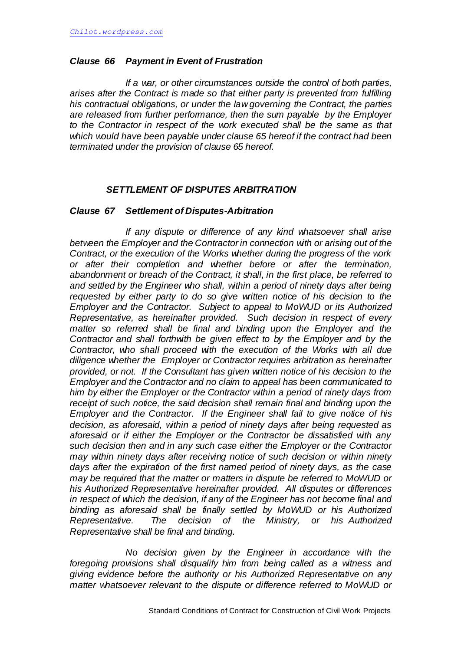#### *Clause 66 Payment in Event of Frustration*

*If a war, or other circumstances outside the control of both parties, arises after the Contract is made so that either party is prevented from fulfilling his contractual obligations, or under the law governing the Contract, the parties are released from further performance, then the sum payable by the Employer to the Contractor in respect of the work executed shall be the same as that which would have been payable under clause 65 hereof if the contract had been terminated under the provision of clause 65 hereof.*

#### *SETTLEMENT OF DISPUTES ARBITRATION*

#### *Clause 67 Settlement of Disputes-Arbitration*

*If any dispute or difference of any kind whatsoever shall arise between the Employer and the Contractor in connection with or arising out of the Contract, or the execution of the Works whether during the progress of the work or after their completion and whether before or after the termination, abandonment or breach of the Contract, it shall, in the first place, be referred to*  and settled by the Engineer who shall, within a period of ninety days after being *requested by either party to do so give written notice of his decision to the Employer and the Contractor. Subject to appeal to MoWUD or its Authorized Representative, as hereinafter provided. Such decision in respect of every matter so referred shall be final and binding upon the Employer and the Contractor and shall forthwith be given effect to by the Employer and by the Contractor, who shall proceed with the execution of the Works with all due diligence whether the Employer or Contractor requires arbitration as hereinafter provided, or not. If the Consultant has given written notice of his decision to the Employer and the Contractor and no claim to appeal has been communicated to him by either the Employer or the Contractor within a period of ninety days from receipt of such notice, the said decision shall remain final and binding upon the Employer and the Contractor. If the Engineer shall fail to give notice of his decision, as aforesaid, within a period of ninety days after being requested as aforesaid or if either the Employer or the Contractor be dissatisfied with any such decision then and in any such case either the Employer or the Contractor may within ninety days after receiving notice of such decision or within ninety days after the expiration of the first named period of ninety days, as the case may be required that the matter or matters in dispute be referred to MoWUD or his Authorized Representative hereinafter provided. All disputes or differences in respect of which the decision, if any of the Engineer has not become final and binding as aforesaid shall be finally settled by MoWUD or his Authorized Representative. The decision of the Ministry, or his Authorized Representative shall be final and binding.*

*No decision given by the Engineer in accordance with the foregoing provisions shall disqualify him from being called as a witness and giving evidence before the authority or his Authorized Representative on any matter whatsoever relevant to the dispute or difference referred to MoWUD or*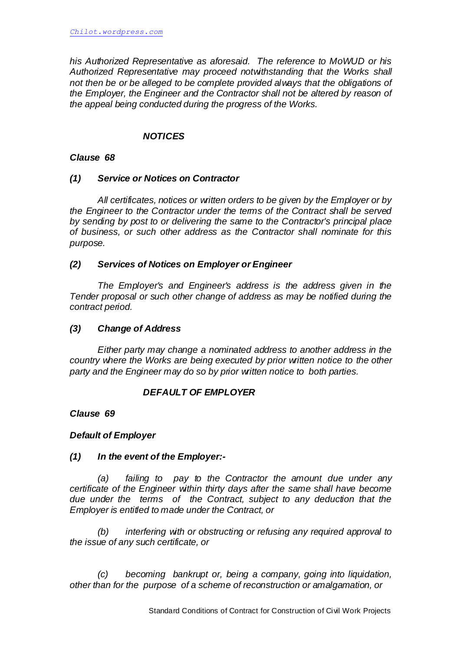*his Authorized Representative as aforesaid. The reference to MoWUD or his Authorized Representative may proceed notwithstanding that the Works shall not then be or be alleged to be complete provided always that the obligations of the Employer, the Engineer and the Contractor shall not be altered by reason of the appeal being conducted during the progress of the Works.* 

#### *NOTICES*

#### *Clause 68*

#### *(1) Service or Notices on Contractor*

*All certificates, notices or written orders to be given by the Employer or by the Engineer to the Contractor under the terms of the Contract shall be served by sending by post to or delivering the same to the Contractor's principal place of business, or such other address as the Contractor shall nominate for this purpose.*

#### *(2) Services of Notices on Employer or Engineer*

*The Employer's and Engineer's address is the address given in the Tender proposal or such other change of address as may be notified during the contract period.*

#### *(3) Change of Address*

*Either party may change a nominated address to another address in the country where the Works are being executed by prior written notice to the other party and the Engineer may do so by prior written notice to both parties.*

### *DEFAULT OF EMPLOYER*

#### *Clause 69*

#### *Default of Employer*

### *(1) In the event of the Employer:-*

*(a) failing to pay to the Contractor the amount due under any certificate of the Engineer within thirty days after the same shall have become due under the terms of the Contract, subject to any deduction that the Employer is entitled to made under the Contract, or*

*(b) interfering with or obstructing or refusing any required approval to the issue of any such certificate, or*

*(c) becoming bankrupt or, being a company, going into liquidation, other than for the purpose of a scheme of reconstruction or amalgamation, or*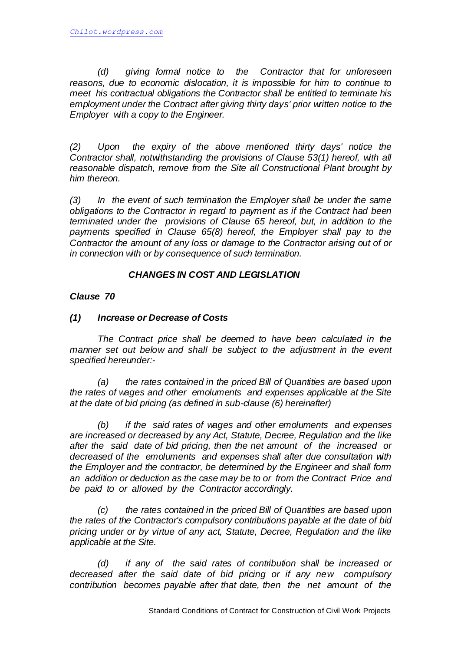*(d) giving formal notice to the Contractor that for unforeseen reasons, due to economic dislocation, it is impossible for him to continue to meet his contractual obligations the Contractor shall be entitled to terminate his employment under the Contract after giving thirty days' prior written notice to the Employer with a copy to the Engineer.*

*(2) Upon the expiry of the above mentioned thirty days' notice the Contractor shall, notwithstanding the provisions of Clause 53(1) hereof, with all reasonable dispatch, remove from the Site all Constructional Plant brought by him thereon.*

*(3) In the event of such termination the Employer shall be under the same obligations to the Contractor in regard to payment as if the Contract had been terminated under the provisions of Clause 65 hereof, but, in addition to the payments specified in Clause 65(8) hereof, the Employer shall pay to the Contractor the amount of any loss or damage to the Contractor arising out of or in connection with or by consequence of such termination.*

# *CHANGES IN COST AND LEGISLATION*

### *Clause 70*

### *(1) Increase or Decrease of Costs*

*The Contract price shall be deemed to have been calculated in the manner set out below and shall be subject to the adjustment in the event specified hereunder:-*

*(a) the rates contained in the priced Bill of Quantities are based upon the rates of wages and other emoluments and expenses applicable at the Site at the date of bid pricing (as defined in sub-clause (6) hereinafter)*

*(b) if the said rates of wages and other emoluments and expenses are increased or decreased by any Act, Statute, Decree, Regulation and the like after the said date of bid pricing, then the net amount of the increased or decreased of the emoluments and expenses shall after due consultation with the Employer and the contractor, be determined by the Engineer and shall form an addition or deduction as the case may be to or from the Contract Price and be paid to or allowed by the Contractor accordingly.*

*(c) the rates contained in the priced Bill of Quantities are based upon the rates of the Contractor's compulsory contributions payable at the date of bid pricing under or by virtue of any act, Statute, Decree, Regulation and the like applicable at the Site.*

*(d) if any of the said rates of contribution shall be increased or decreased after the said date of bid pricing or if any new compulsory contribution becomes payable after that date, then the net amount of the*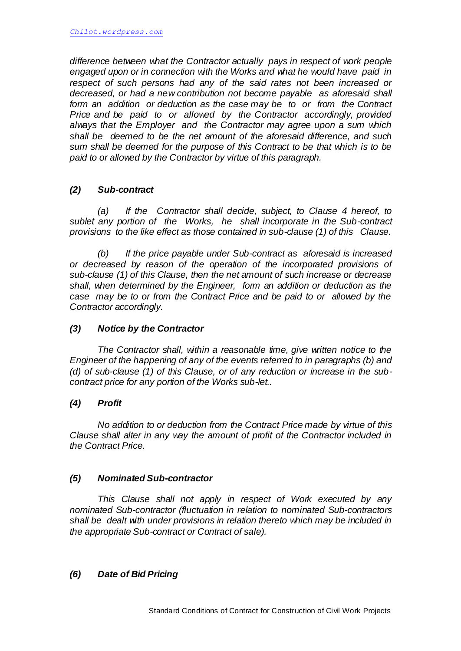*difference between what the Contractor actually pays in respect of work people engaged upon or in connection with the Works and what he would have paid in respect of such persons had any of the said rates not been increased or decreased, or had a new contribution not become payable as aforesaid shall form an addition or deduction as the case may be to or from the Contract Price and be paid to or allowed by the Contractor accordingly, provided always that the Employer and the Contractor may agree upon a sum which shall be deemed to be the net amount of the aforesaid difference, and such sum shall be deemed for the purpose of this Contract to be that which is to be paid to or allowed by the Contractor by virtue of this paragraph.*

# *(2) Sub-contract*

*(a) If the Contractor shall decide, subject, to Clause 4 hereof, to sublet any portion of the Works, he shall incorporate in the Sub-contract provisions to the like effect as those contained in sub-clause (1) of this Clause.*

*(b) If the price payable under Sub-contract as aforesaid is increased or decreased by reason of the operation of the incorporated provisions of sub-clause (1) of this Clause, then the net amount of such increase or decrease shall, when determined by the Engineer, form an addition or deduction as the case may be to or from the Contract Price and be paid to or allowed by the Contractor accordingly.*

# *(3) Notice by the Contractor*

*The Contractor shall, within a reasonable time, give written notice to the Engineer of the happening of any of the events referred to in paragraphs (b) and (d) of sub-clause (1) of this Clause, or of any reduction or increase in the subcontract price for any portion of the Works sub-let..*

### *(4) Profit*

*No addition to or deduction from the Contract Price made by virtue of this Clause shall alter in any way the amount of profit of the Contractor included in the Contract Price.*

### *(5) Nominated Sub-contractor*

*This Clause shall not apply in respect of Work executed by any nominated Sub-contractor (fluctuation in relation to nominated Sub-contractors shall be dealt with under provisions in relation thereto which may be included in the appropriate Sub-contract or Contract of sale).*

### *(6) Date of Bid Pricing*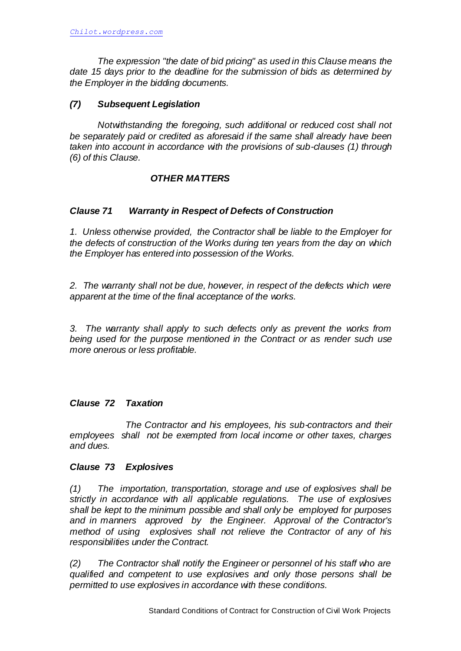*The expression "the date of bid pricing" as used in this Clause means the date 15 days prior to the deadline for the submission of bids as determined by the Employer in the bidding documents.*

# *(7) Subsequent Legislation*

*Notwithstanding the foregoing, such additional or reduced cost shall not be separately paid or credited as aforesaid if the same shall already have been taken into account in accordance with the provisions of sub-clauses (1) through (6) of this Clause.*

# *OTHER MATTERS*

# *Clause 71 Warranty in Respect of Defects of Construction*

*1. Unless otherwise provided, the Contractor shall be liable to the Employer for the defects of construction of the Works during ten years from the day on which the Employer has entered into possession of the Works.*

*2. The warranty shall not be due, however, in respect of the defects which were apparent at the time of the final acceptance of the works.*

*3. The warranty shall apply to such defects only as prevent the works from being used for the purpose mentioned in the Contract or as render such use more onerous or less profitable.*

### *Clause 72 Taxation*

*The Contractor and his employees, his sub-contractors and their employees shall not be exempted from local income or other taxes, charges and dues.*

### *Clause 73 Explosives*

*(1) The importation, transportation, storage and use of explosives shall be strictly in accordance with all applicable regulations. The use of explosives shall be kept to the minimum possible and shall only be employed for purposes and in manners approved by the Engineer. Approval of the Contractor's method of using explosives shall not relieve the Contractor of any of his responsibilities under the Contract.*

*(2) The Contractor shall notify the Engineer or personnel of his staff who are qualified and competent to use explosives and only those persons shall be permitted to use explosives in accordance with these conditions.*